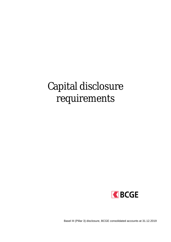# Capital disclosure requirements



Basel III (Pillar 3) disclosure, BCGE consolidated accounts at 31.12.2019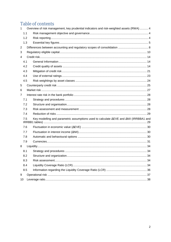# Table of contents

| $\mathbf{1}$   | Overview of risk management, key prudential indicators and risk-weighted assets (RWA) 4 |                                                                                                       |  |  |  |  |
|----------------|-----------------------------------------------------------------------------------------|-------------------------------------------------------------------------------------------------------|--|--|--|--|
|                | 1.1                                                                                     |                                                                                                       |  |  |  |  |
|                | 1.2                                                                                     |                                                                                                       |  |  |  |  |
|                | 1.3                                                                                     |                                                                                                       |  |  |  |  |
| $\overline{2}$ |                                                                                         |                                                                                                       |  |  |  |  |
| 3              |                                                                                         |                                                                                                       |  |  |  |  |
| 4              |                                                                                         |                                                                                                       |  |  |  |  |
|                | 4.1                                                                                     |                                                                                                       |  |  |  |  |
|                | 4.2                                                                                     |                                                                                                       |  |  |  |  |
|                | 4.3                                                                                     |                                                                                                       |  |  |  |  |
|                | 4.4                                                                                     |                                                                                                       |  |  |  |  |
|                | 4.5                                                                                     |                                                                                                       |  |  |  |  |
| 5              |                                                                                         |                                                                                                       |  |  |  |  |
| 6              |                                                                                         |                                                                                                       |  |  |  |  |
| 7              |                                                                                         |                                                                                                       |  |  |  |  |
|                | 7.1                                                                                     |                                                                                                       |  |  |  |  |
|                | 7.2                                                                                     |                                                                                                       |  |  |  |  |
|                | 7.3                                                                                     |                                                                                                       |  |  |  |  |
|                | 7.4                                                                                     |                                                                                                       |  |  |  |  |
|                | 7.5                                                                                     | Key modelling and parametric assumptions used to calculate $\Delta$ EVE and $\Delta$ NII (IRRBBA1 and |  |  |  |  |
|                | 7.6                                                                                     |                                                                                                       |  |  |  |  |
|                | 7.7                                                                                     |                                                                                                       |  |  |  |  |
|                | 7.8                                                                                     |                                                                                                       |  |  |  |  |
|                | 7.9                                                                                     |                                                                                                       |  |  |  |  |
| 8              |                                                                                         |                                                                                                       |  |  |  |  |
|                | 8.1                                                                                     |                                                                                                       |  |  |  |  |
|                | 8.2                                                                                     |                                                                                                       |  |  |  |  |
|                | 8.3                                                                                     |                                                                                                       |  |  |  |  |
|                | 8.4                                                                                     |                                                                                                       |  |  |  |  |
|                | 8.5                                                                                     |                                                                                                       |  |  |  |  |
| 9              |                                                                                         |                                                                                                       |  |  |  |  |
| 10             |                                                                                         |                                                                                                       |  |  |  |  |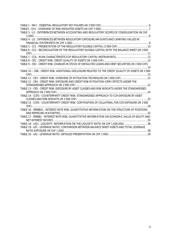| TABLE 3 - LI1 - DIFFERENCES BETWEEN ACCOUNTING AND REGULATORY SCOPES OF CONSOLIDATION (IN CHF       |  |
|-----------------------------------------------------------------------------------------------------|--|
|                                                                                                     |  |
| TABLE 4 - LI2 - DIFFERENCES BETWEEN REGULATORY EXPOSURE AMOUNTS AND CARRYING VALUES IN              |  |
|                                                                                                     |  |
|                                                                                                     |  |
| TABLE 6 - CC2 - RECONCILIATION OF THE REGULATORY ELIGIBLE CAPITAL WITH THE BALANCE SHEET (IN 1'000  |  |
|                                                                                                     |  |
|                                                                                                     |  |
|                                                                                                     |  |
| TABLE 9 - CR2 - CREDIT RISK: CHANGES IN STOCK OF DEFAULTED LOANS AND DEBT SECURITIES (IN 1'000 CHF) |  |
|                                                                                                     |  |
|                                                                                                     |  |
|                                                                                                     |  |
| TABLE 11 - CR3 - CREDIT RISK: OVERVIEW OF MITIGATION TECHNIQUES (IN 1'000 CHF) 21                   |  |
| TABLE 12 - CR4 - CREDIT RISK: EXPOSURE AND CREDIT RISK MITIGATION (CRM) EFFECTS UNDER THE           |  |
|                                                                                                     |  |
| TABLE 13 - CR5 - CREDIT RISK: EXPOSURE BY ASSET CLASSES AND RISK WEIGHTS UNDER THE STANDARDISED     |  |
|                                                                                                     |  |
| TABLE 14 - CCR3 - COUNTERPARTY CREDIT RISK: STANDARDISED APPROACH TO CCR EXPOSURE BY ASSET          |  |
|                                                                                                     |  |
|                                                                                                     |  |
|                                                                                                     |  |
| TABLE 16 - IRRBBA1 - INTEREST RATE RISK: QUANTITATIVE INFORMATION ON THE STRUCTURE OF POSITIONS     |  |
|                                                                                                     |  |
| TABLE 17 - IRRBB1 - INTEREST RATE RISK: QUANTITATIVE INFORMATION ON ECONOMIC VALUE OF EQUITY AND    |  |
|                                                                                                     |  |
| TABLE 18 - LIQ1 - LIQUIDITY: INFORMATION ON THE LIQUIDITY RATIO (IN CHF 1,000,000) 36               |  |
| TABLE 19 - LR1 - LEVERAGE RATIO: COMPARISON BETWEEN BALANCE SHEET ASSETS AND TOTAL LEVERAGE         |  |
|                                                                                                     |  |
|                                                                                                     |  |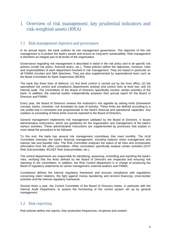# 1 Overview of risk management, key prudential indicators and risk-weighted assets (RWA)

#### 1.1 Risk management objective and governance

In its annual report, the bank outlines its risk management governance. The objective of this risk management is to protect the bank's assets and ensure its long-term sustainability. Risk management is therefore an integral part of all levels of the organisation.

Governance regarding risk management is described in detail in the risk policy and in all specific risk policies (credit risk policy, financial policy, etc.). These policies define the objectives, missions, roles and responsibilities of each department involved in risk management. They are based in particular on all FINMA circulars and SBA directives. They are also supplemented by supranational texts such as the Basel Committee for Bank Supervision (BCBS).

The bank has three lines of defence: (1) first level control is carried out by the front office; (2) the specialised risk control and compliance departments analyse and control risks at level two; and (3) internal audit. The committees of the Board of Directors specifically monitor certain activities of the bank. In addition, the external auditor independently prepares their annual report for the Board of Directors and FINMA.

Every year, the Board of Directors reviews the institution's risk appetite by setting limits (framework concept, banks, countries, risk envelopes by type of activity). These limits are defined according to a risk profile that is consistent and proportionate to the bank's financial and operational capacities. Any violation or exceeding of these limits must be reported to the Board of Directors.

General management implements risk management validated by the Board of Directors. It issues administrative instructions, which are guidelines for the organisation and management of the bank's various activities. These administrative instructions are supplemented by processes that explain in more detail the procedure to be followed.

To this end, the bank has several risk management committees that meet monthly. The ALM Committee oversees the bank's financial management, including balance sheet management and interest rate and liquidity risks. The Risk Committee analyses the status of all risks and incorporates information from the other committees. Other committees specifically analyse certain activities (GCF Risk Subcommittee, BCGEF Risk Subcommittee, etc.).

The control departments are responsible for identifying, assessing, controlling and reporting the bank's risks, verifying that the limits defined by the Board of Directors are respected and ensuring risk reporting to the committees. In addition, the Risk Control department is in charge of producing the Basel III regulatory statements for senior management, external auditors and FINMA.

Compliance defines the internal regulatory framework and ensures compliance with regulations concerning client relations, the fight against money laundering and terrorist financing, cross-border activities and the internal regulatory framework.

Several times a year, the Control Committee of the Board of Directors meets, in particular with the Internal Audit Department, to assess the functioning of the control system set up by general management.

#### 1.2 Risk reporting

Risk policies define risk reports, their production frequencies, recipients and content.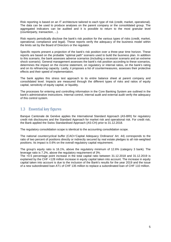Risk reporting is based on an IT architecture tailored to each type of risk (credit, market, operational). The data can be used to produce analyses on the parent company or the consolidated group. The aggregated indicators can be audited and it is possible to return to the most granular level (counterparty, transaction, ...).

Risk reports periodically disclose the bank's risk position for the various types of risks (credit, market, operational, compliance and legal). These reports verify the adequacy of the business model within the limits set by the Board of Directors or the regulator.

Specific reports present a projection of the bank's risk position over a three-year time horizon. These reports are based on the probable "optimal path" scenario used to build the business plan. In addition to this scenario, the bank assesses adverse scenarios (including a recession scenario and an extreme shock scenario). General management assesses the bank's risk position according to these scenarios, determines the impact on the income statement, on regulatory or internal ratios, on the bank's rating and on its refinancing capacity. Lastly, it proposes a list of countermeasures, assesses their protective effects and their speed of implementation.

The bank applies this stress test approach to its entire balance sheet at parent company and consolidated level. Impacts are measured through the different types of risks and ratios of equity capital, sensitivity of equity capital, or liquidity.

The processes for entering and controlling information in the Core Banking System are outlined in the bank's administrative instructions. Internal control, internal audit and external audit verify the adequacy of this control system.

## 1.3 Essential key figures

Banque Cantonale de Genève applies the International Standard Approach (AS-BRI) for regulatory credit risk disclosures and the Standard Approach for market risk and operational risk. For credit risk, the Bank applied the Swiss Standardised Approach (AS-CH) prior to 31.12.2018.

The regulatory consolidation scope is identical to the accounting consolidation scope.

The national countercyclical buffer (CAO='Capital Adequacy Ordinance' Art. 44) corresponds to the ratio of two percent of positions directly or indirectly secured by real estate pledges to all risk-weighted positions. Its impact is 0.6% on the overall regulatory capital requirement.

The group's equity ratio is 16.1%, above the regulatory minimum of 12.6% (category 3 bank). The leverage ratio is 7.2%, above the regulatory requirement of 3%.

The +0.5 percentage point increase in the total capital ratio between 31.12.2018 and 31.12.2019 is explained by the CHF +128 million increase in equity capital taken into account. The increase in equity capital taken into account is due to the inclusion of the Bank's results for the year 2019 and the issue of a new subordinated loan AT1 of CHF 135 million to replace a subordinated loan of CHF 110 million.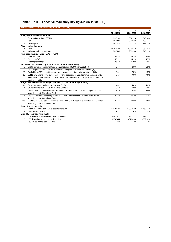|  | Table 1 - KM1 - Essential regulatory key figures (in 1'000 CHF) |  |
|--|-----------------------------------------------------------------|--|
|--|-----------------------------------------------------------------|--|

|                 | KM1: Essential regulatory key figures (in 1'000 CHF)                                        |            |            |            |
|-----------------|---------------------------------------------------------------------------------------------|------------|------------|------------|
|                 |                                                                                             | a          | с          |            |
|                 |                                                                                             | 31.12.2019 | 30.06.2019 | 31.12.2018 |
|                 | Equity taken into consideration                                                             |            |            |            |
| $\mathbf{1}$    | Common Equity Tier 1 (CET1)                                                                 | 1'633'130  | 1'602'128  | 1'540'546  |
| $\overline{2}$  | Tier 1 (T1)                                                                                 | 1'857'920  | 1'800'088  | 1'738'936  |
| 3               | <b>Total capital</b>                                                                        | 1'981'870  | 1'917'182  | 1'853'710  |
|                 | <b>Risk-weighted assets</b>                                                                 |            |            |            |
| 4               | <b>RWA</b>                                                                                  | 12'282'103 | 12'079'612 | 11'857'663 |
| 4a              | Minimum capital requirement                                                                 | 982'568    | 966'369    | 948'613    |
|                 | Risk-based capital ratios (as % of RWA)                                                     |            |            |            |
| 5               | CET1 ratio (%)                                                                              | 13.3%      | 13.3%      | 13.0%      |
| 6               | Tier 1 ratio (%)                                                                            | 15.1%      | 14.9%      | 14.7%      |
| $\overline{7}$  | Total capital ratio (%)                                                                     | 16.1%      | 15.9%      | 15.6%      |
|                 | Additional CET1 buffer requirements (as percentage of RWA)                                  |            |            |            |
| 8               | Capital buffer according to Basel minimum standard (2.5% from 2019)(%)                      | 2.5%       | 2.5%       | 1.9%       |
| 9               | Countercyclical buffer (art. 44a OFR4) according to Basel minimum standard (%)              |            |            |            |
| 11              | Total of bank CET1-specific requirements according to Basel minimum standard (%)            | 2.5%       | 2.5%       | 1.9%       |
| 12              | CET11 available to cover buffer requirements according to Basel minimum standard (after     | 8.1%       | 7.9%       | 7.6%       |
|                 | deduction of CET1 allocated to cover minimum requirements and if applicable to cover TLAC   |            |            |            |
|                 | requirements)(%)                                                                            |            |            |            |
|                 | Target capital ratios according to Annex 8 CAO (as percentage of RWA)                       |            |            |            |
| 12a             | Capital buffer according to Annex 8 CAO (%)                                                 | 4.0%       | 4.0%       | 4.0%       |
| 12 <sub>b</sub> | Countercyclical buffer (art. 44 and 44a CAO)(%)                                             | 0.6%       | 0.6%       | 0.6%       |
| 12c             | Target CET1 ratio (%) according to Annex 8 CAO with addition of countercyclical buffer      | 8.4%       | 8.4%       | 8.4%       |
|                 | according to art. 44 and 44a CAO                                                            |            |            |            |
| 12d             | Target T1 ratio (%) according to Annex 8 CAO w ith addition of countercyclical buffer       | 10.2%      | 10.2%      | 10.2%      |
|                 | according to art. 44 and 44a CAO                                                            |            |            |            |
| 12e             | Total target capital ratio according to Annex 8 CAO with addition of countercyclical buffer | 12.6%      | 12.6%      | 12.6%      |
|                 | according to art. 44 and 44a CAO                                                            |            |            |            |
|                 | Basel III leverage ratio                                                                    |            |            |            |
| 13              | Total Basel III leverage ratio exposure measure                                             | 25'815'100 | 24'391'929 | 23'760'340 |
| 14              | Basel III leverage ratio                                                                    | 7.2%       | 7.4%       | 7.3%       |
|                 | Liquidity coverage ratio (LCR)                                                              |            |            |            |
| 15              | LCR numerator: total high-quality liquid assets                                             | 5'461'317  | 4'772'321  | 4'311'477  |
| 16              | LCR denominator: total net cash outflow                                                     | 3'656'844  | 3'328'809  | 3'559'103  |
| 17              | Liquidity coverage ratio LCR (%)                                                            | 149%       | 143%       | 121%       |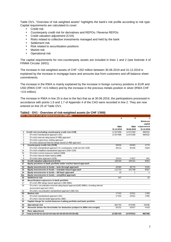Table OV1, "Overview of risk weighted assets" highlights the bank's risk profile according to risk type. Capital requirements are calculated to cover:

- **Credit risk**
- Counterparty credit risk for derivatives and REPOs / Reverse REPOs
- Credit valuation adjustment (CVA)
- Risks related to collective investments managed and held by the bank
- Settlement risk
- Risk related to securitisation positions
- Market risk
- Operational risk

The capital requirements for non-counterparty assets are included in lines 1 and 2 (see footnote 4 of FINMA Circular 16/01).

The increase in risk-weighted assets of CHF +202 million between 30.06.2019 and 31.12.2019 is explained by the increase in mortgage loans and amounts due from customers and off-balance sheet commitments.

The increase in the RWA is mainly explained by the increase in foreign currency positions in EUR and USD (RWA CHF +4.5 million) and by the increase in the precious metals position in silver (RWA CHF +3.6 million).

The increase in RWA in line 25 is due to the fact that as at 30.06.2019, the participations processed in accordance with points 1.6 and 1.7 of Appendix 4 of the CAO were recorded in line 2. They are now entered on line 25 of Table OV1.

#### **Table2 - OV1 - Overview of risk-weighted assets (in CHF 1'000)**

|                 | OV1: Overview of risk weighted assets (in 1'000 CHF)                                   |            |              |                |
|-----------------|----------------------------------------------------------------------------------------|------------|--------------|----------------|
|                 |                                                                                        | a          | b            | c.             |
|                 |                                                                                        |            |              | <b>Minimum</b> |
|                 |                                                                                        |            |              | capital        |
|                 |                                                                                        | <b>RWA</b> | <b>RWA</b>   | requirement    |
|                 |                                                                                        | 31.12.2019 | 30.06.2019   | 31.12.2019     |
| 1               | Credit risk (excluding counterparty credit risk-CCR)                                   | 11'207'898 | 11'072'289   | 896'632        |
| $\overline{2}$  | Of which standardised approach (SA)                                                    | 11'207'898 | 11'072'289   | 896'632        |
| 3               | Of which internal rating-based (F-IRB) approach                                        |            |              |                |
| $\overline{4}$  | Of which supervisory slotting approach                                                 |            |              |                |
| 5               | Of which advanced internal ratings-based (A-IRB) approach                              |            |              |                |
| 6               | Counterparty credit risk (CCR)                                                         | 59'626     | 63'063       | 4'770          |
| $\overline{7}$  | Of which standardised approach for counterparty credit risk (SA-CCR)                   | 49'112     | 45'435       | 3'929          |
| 7a              | Of which simplified standardised approach (SSA-CCR)                                    |            |              |                |
| 7b              | Of which current exposure method (CEM)                                                 |            |              |                |
| 8               | Of which internal model method (IMM)                                                   |            |              |                |
| 9               | Of which other approach (CCR)                                                          | 10'514     | 17'627       | 841            |
| 10              | Credit valuation adjustment (CVA)                                                      | 108'165    | 100'151      | 8'653          |
| 11              | Equity positions in bank portfolio under market-based approach                         |            |              |                |
| $\overline{12}$ | Equity investments in funds - look-through approach                                    | 40'065     | 38'770       | 3'205          |
| 13              | Equity investments in funds - mandate-based approach                                   | 111'714    | 101'798      | 8'937          |
| 14              | Equity investments in funds - fall-back approach                                       | 22         | $\mathbf{1}$ | 2              |
| 14a             | Equity investments in funds - simplified approach                                      |            |              |                |
| 15              | Settlement risk                                                                        | 247        |              | 20             |
| 16              | Securitisation exposures in bank portfolio                                             |            |              |                |
| 17              | Of which IRB ratings-based approach (SEC-IRBA)                                         |            |              |                |
| 18              | Of w hich: securitisation external rating-based approach(SEC-ERBA), including internal |            |              |                |
|                 | assessment approach (IAA)                                                              |            |              |                |
| 19              | Of w hich: securitisation standardised approach (SEC-SA)                               |            |              |                |
| 20              | Market risk                                                                            | 17'432     | 10'021       | 1'395          |
| 21              | Of which standardised approach (SA)                                                    | 17'432     | 10'021       | 1'395          |
| 22              | Of which: internal model approaches (IMA)                                              |            |              |                |
| $\overline{23}$ | Capital charge for switch between trading portfolio and bank portfolio                 |            |              |                |
| 24              | <b>Operational risk</b>                                                                | 681'702    | 673'492      | 54'536         |
| 25              | Amounts below the thresholds for deduction (subject to 250% risk weight)               | 55'231     | 20'027       | 4'418          |
| 26              | <b>Floor adjustment</b>                                                                |            |              |                |
| 27              | Total (1+6+10+11+12+13+14+14a+15+16+20+23+24+25+26)                                    | 12'282'103 | 12'079'612   | 982'568        |
|                 |                                                                                        |            |              |                |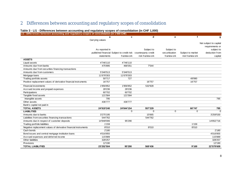# 2 Differences between accounting and regulatory scopes of consolidation

#### **Table 3 - LI1 - Differences between accounting and regulatory scopes of consolidation (in CHF 1,000)**

| LI1 : Differences between accounting and regulatory scopes of consolidation (in 1'000 CHF) |                 |                                                                |                 |                |                   |                        |
|--------------------------------------------------------------------------------------------|-----------------|----------------------------------------------------------------|-----------------|----------------|-------------------|------------------------|
|                                                                                            | a               | $\mathbf{c}$                                                   | d               | е              | $\mathbf f$       | g                      |
|                                                                                            | Carrying values |                                                                |                 |                |                   |                        |
|                                                                                            |                 |                                                                |                 |                |                   | Not subject to capital |
|                                                                                            |                 |                                                                |                 |                |                   | requirements or        |
|                                                                                            | As reported in  |                                                                | Subject to      | Subject to     |                   | subject to             |
|                                                                                            |                 | published financial Subject to credit risk counterparty credit |                 | securitisation | Subject to market | deduction from         |
|                                                                                            | statements      | framew ork                                                     | risk framew ork | framew ork     | risk framew ork   | capital                |
| <b>ASSETS</b>                                                                              |                 |                                                                |                 |                |                   |                        |
| Liquid assets                                                                              | 4'746'110       | 4'746'110                                                      |                 |                |                   |                        |
| Amounts due from banks                                                                     | 475'895         | 468'351                                                        | 7'544           |                |                   |                        |
| Amounts due from securities financing transactions                                         |                 |                                                                |                 |                |                   |                        |
| Amounts due from customers                                                                 | 5'346'513       | 5'346'513                                                      |                 |                |                   |                        |
| Mortgage loans                                                                             | 11'678'303      | 11'678'303                                                     |                 |                |                   |                        |
| Trading portfolio assets                                                                   | 50'717          | 727                                                            |                 |                | 49'990            |                        |
| Positive replacement values of derivative financial instruments                            | 16'757          |                                                                | 16'757          |                | 16'757            |                        |
| <b>Financial investments</b>                                                               | 1'956'852       | 1'956'852                                                      | 532'928         |                |                   |                        |
| Accrued income and prepaid expenses                                                        | 28'236          | 28'236                                                         |                 |                |                   |                        |
| Participations                                                                             | 60'702          | 60'702                                                         |                 |                |                   |                        |
| Tangible fixed assets                                                                      | 121'584         | 121'584                                                        |                 |                |                   |                        |
| Intangible assets                                                                          | 795             |                                                                |                 |                |                   | 795                    |
| Other assets                                                                               | 436'777         | 436'777                                                        |                 |                |                   |                        |
| Bank's capital not paid in                                                                 |                 |                                                                |                 |                |                   |                        |
| <b>TOTAL ASSETS</b>                                                                        | 24'919'240      | 24'844'154                                                     | 557'229         |                | 66'747            | 795                    |
| <b>LIABILITIES</b>                                                                         |                 | $\Omega$                                                       | $\Omega$        | 0              | $\Omega$          | $\Omega$               |
| Amounts due to banks                                                                       | 3'275'195       |                                                                | 15'665          |                |                   | 3'259'530              |
| Liabilities from securities financing transactions                                         | 544'762         |                                                                | 544'762         |                |                   |                        |
| Amounts due in respect of customer deposits                                                | 14'948'006      | 95'290                                                         |                 |                |                   | 14'852'716             |
| Trading portfolio liabilities                                                              | 1'159           |                                                                |                 |                | 1'159             |                        |
| Negative replacement values of derivative financial instruments                            | 8'010           |                                                                | 8'010           |                | 8'010             |                        |
| Cash bonds                                                                                 | 2'180           |                                                                |                 |                |                   | 2'180                  |
| Bond issues and central mortgage institution loans                                         | 4'016'855       |                                                                |                 |                |                   | 4'016'855              |
| Accrued expenses and deferred income                                                       | 115'889         |                                                                |                 |                |                   | 115'889                |
| Other liabilities                                                                          | 328'257         |                                                                |                 |                |                   | 328'257                |
| Provisions                                                                                 | 12'190          |                                                                |                 |                |                   | 12'190                 |
| <b>TOTAL LIABILITIES</b>                                                                   | 23'252'504      | 95'290                                                         | 568'436         |                | 9'169             | 22'579'609             |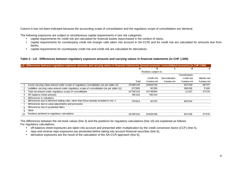Column b has not been indicated because the accounting scope of consolidation and the regulatory scope of consolidation are identical.

The following exposures are subject to simultaneous capital requirements in two risk categories:

- capital requirements for credit risk are calculated for financial assets repurchased in the context of repos,
- capital requirements for counterparty credit risk (margin calls taken into account in SA-CCR) and for credit risk are calculated for amounts due from banks,
- capital requirements for counterparty credit risk and credit risk are calculated for derivatives.

#### **Table 4 - LI2 - Differences between regulatory exposure amounts and carrying values in financial statements (in CHF 1,000)**

|    | LI2: Differences between regulatory exposure amounts and carrying values in financial statements (annual accounts / consolidated accounts) (in CHF 1'000) |            |                       |                |              |             |
|----|-----------------------------------------------------------------------------------------------------------------------------------------------------------|------------|-----------------------|----------------|--------------|-------------|
|    |                                                                                                                                                           | a          | b                     | c              | α            | e           |
|    |                                                                                                                                                           |            | Positions subject to: |                |              |             |
|    |                                                                                                                                                           |            |                       |                | Counterparty |             |
|    |                                                                                                                                                           |            | Credit risk           | Securitisation | credit risk  | Market risk |
|    |                                                                                                                                                           | Total      | framew ork            | framew ork     | framew ork   | framew ork  |
|    | Asset carrying value amount under scope of regulatory consolidation (as per table LI1)                                                                    | 25'468'129 | 24'844'154            |                | 557'229      | 66'747      |
| 2  | Liabilities carrying value amount under regulatory scope of consolidation (as per table LI1)                                                              | 672'895    | 95'290                |                | 568'436      | 9'169       |
| 3  | Total net amount under regulatory scope of consolidation                                                                                                  | 24'795'234 | 24'748'864            |                | $-11'207$    | 57'578      |
| 4  | Off-balance sheet amounts                                                                                                                                 | 785'104    | 785'104               |                |              |             |
| 5. | Differences in valuations                                                                                                                                 |            |                       |                |              |             |
| 6  | Differences due to different netting rules, other than those already included in row 2                                                                    | 754'914    | 92'370                |                | 662'544      |             |
|    | Differences due to value adjustments and provisions                                                                                                       |            |                       |                |              |             |
| 8  | Differences due to prudential filters                                                                                                                     |            |                       |                |              |             |
| 9  | Other                                                                                                                                                     |            |                       |                |              |             |
| 10 | Positions pertinent to regulatory calculations                                                                                                            | 26'335'252 | 25'626'338            |                | 651'336      | 57'578      |

The differences between the net book values (line 3) and the positions for regulatory calculations (line 10) are explained as follows: For regulatory calculations,

- off-balance sheet exposures are taken into account and presented after multiplication by the credit conversion factor (CCF) (line 4),
- repo and reverse repo exposures are presented before taking into account financial securities (line 6),
- derivative exposures are the result of the calculation of the SA-CCR approach (line 6),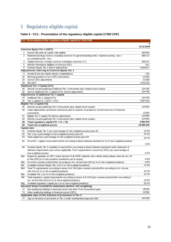# 3 Regulatory eligible capital

## **Table 5 - CC1 - Presentation of the regulatory eligible capital (1'000 CHF)**

| CC1: Presentation of the regulatory eligible capital (in 1'000 CHF) |  |
|---------------------------------------------------------------------|--|
|---------------------------------------------------------------------|--|

|     |                                                                                                             | a<br>31.12.2019 |
|-----|-------------------------------------------------------------------------------------------------------------|-----------------|
|     | Common Equity Tier 1 (CET1)                                                                                 |                 |
| 1   | Issued fully paid-up capital, fully eligible                                                                | 360'000         |
| 2   | Retained earnings reserve, including reserves for general banking risks / retained earning - loss /         | 986'712         |
|     | accumulated profit - loss                                                                                   |                 |
| 3   | Capital reserves / foreign currency translation reserves (+/-)                                              | 300'217         |
| 5   | Intérêts minoritaires éligibles en tant que CET1                                                            | $-411$          |
| 6   | Common Equity Tier 1 before adjustments                                                                     | 1'646'517       |
|     | Adjustments referring to Common Equity Tier 1                                                               |                 |
| 8   | Goodwill (net des impôts latents comptabilisés)                                                             | $-795$          |
| 16  | Net long positions in ow n CET1 instruments                                                                 | -12'593         |
| 28  | Sum of CET1 adjustments                                                                                     | -13'388         |
| 29  | Net CET1                                                                                                    | 1'633'130       |
|     | <b>Additional Tier 1 Capital (AT1)</b>                                                                      |                 |
| 30  | Directly issued qualifying Additional Tier 1 instruments plus related stock surplus                         | 224'790         |
| 36  | Sum of additional Tier 1 capital (AT1), before adjustments                                                  | 224'790         |
|     | Adjustments of additional Tier 1 capital                                                                    |                 |
| 44  | Additional Tier 1 capital (AT1)                                                                             | 224'790         |
| 45  | Tier 1 capital (T1 = CET1 + AT1)                                                                            | 1'857'920       |
|     | Eligible Tier 2 capital (T2)                                                                                |                 |
| 46  | Directly issued qualifying Tier 2 instruments plus related stock surplus                                    | 110'000         |
| 50  | Value adjustments; provisions and losses due to reasons of prudence; forced reserves on financial           |                 |
|     | investments                                                                                                 | 13'950          |
| 51  | Eligible Tier 2 capital (T2) before adjustments                                                             | 123'950         |
| 58  | Directly issued qualifying Tier 2 instruments plus related stock surplus                                    | 123'950         |
| 59  | Total regulatory capital (TC = T1 + T2)                                                                     | 1'981'870       |
| 60  | <b>Total risk weighted assets</b>                                                                           | 12'282'103      |
|     | Capital ratio                                                                                               |                 |
| 61  | Common Equity Tier 1 (as a percentage of risk w eighted assets) para 29                                     | 13.3%           |
| 62  | Tier 1 (as a percentage of risk w eighted assets) para 45                                                   | 15.1%           |
| 63  | Total capital (as a percentage of risk w eighted assets) para 59                                            | 16.1%           |
| 65  | Of which: capital conservation buffer according to Basel minimum standard (in % of risk w eighted position) | 2.5%            |
| 68  | Common Equity Tier 1 available to meet buffers according to Basel minimum standards (after deduction of     |                 |
|     | minimum requirements and, w here applicable, TLAC requirements covered by CET1) (as a percentage of         |                 |
|     | risk w eighted assets)                                                                                      | 8.1%            |
| 68a | Exigences globales en CET 1 selon l'annexe 8 de l'OFR, majorées des volants anticycliques selon les art. 44 |                 |
|     | et 44a OFR (en % des positions pondérées par le risque)                                                     | 0.0%            |
| 68b | Of which countercyclical buffer according to Art. 44 and 44a CAO (in % of risk weighted positions)          | 0.6%            |
| 68c | Available Common Equity Tier 1 (in % of risk w eighted positions)                                           | 11.9%           |
| 68d | Total T1 requirements according to annex 8 of CAO plus countercyclical buffer according to Art. 44 and      |                 |
|     | 44a CAO (in % of risk w eighted positions)                                                                  | 10.2%           |
| 68e | Available Tier 1 (in % of risk weighted positions)                                                          | 13.7%           |
| 68f | Total regulatory capital requirements according to annex 8 of CAO plus countercyclical buffer according to  |                 |
|     | Art. 44 and 44a CAO (in % of risk weighted positions)                                                       | 12.6%           |
|     | Available regulatory capital (as a % of risk-weighted positions)                                            | 16.1%           |
| 68g | Amounts below treshold for deductions (before risk weighting)                                               |                 |
| 72  | Non-qualifying holdings in financial sector and other TLAC investment types                                 | 28'536          |
| 73  | Other qualifying holdings in financial sector (CET1)                                                        | 22'092          |
|     | Applicable caps on the inclusion of provisions in Tier 2                                                    |                 |
| 77  | Cap on inclusion of provisions in Tier 2 under standardised approach BIS                                    | 141'180         |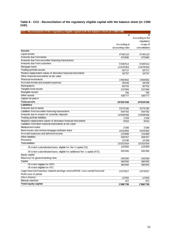**Table 6 - CC2 - Reconciliation of the regulatory eligible capital with the balance sheet (in 1'000 CHF)**

| b<br>a<br>According to the<br>regulatory<br>According to<br>scope of<br>consolidation<br>accounting rules<br><b>Assets</b><br><b>Liquid assets</b><br>4'746'110<br>4'746'110<br>Amounts due from banks<br>475'895<br>475'895<br>Amounts due from securities financing transactions<br>Amounts due from customers<br>5'346'513<br>5'346'513<br>Mortgage loans<br>11'678'303<br>11'678'303<br>Trading portfolio assets<br>50'717<br>50'717<br>Positive replacement values of derivative financial instruments<br>16'757<br>16'757<br>Other financial instruments at fair value<br><b>Financial investments</b><br>1'956'852<br>1'956'852<br>Accrued income and prepaid expenses<br>28'236<br>28'236<br>Participations<br>60'702<br>60'702<br>Tangible fixed assets<br>121'584<br>121'584<br>Intangible assets<br>795<br>795<br>Other assets<br>436'777<br>436'777<br>Capital not paid in<br><b>Total assets</b><br>24'919'240<br>24'919'240<br>Liabilities<br>Amounts due to banks<br>3'275'195<br>3'275'195<br>Liabilities from securities financing transactions<br>544'762<br>544'762<br>Amounts due in respect of customer deposits<br>14'948'006<br>14'948'006<br>Trading portfolio liabilities<br>1'159<br>1'159<br>Negative replacement values of derivative financial instruments<br>8'010<br>8'010<br>Liabilities from other financial instruments at fair value<br>Medium-term notes<br>2'180<br>2'180<br>Bond issues and central mortgage institution loans<br>4'016'855<br>4'016'855<br>Accrued expenses and deferred income<br>115'889<br>115'889<br><b>Other liabilities</b><br>328'257<br>328'257<br>Provisions<br>12'190<br>12'190<br><b>Total liabilities</b><br>23'252'504<br>23'252'504<br>110'000<br>110'000<br>Of which subordinated loans, eligible for Tier 2 capital (T2)<br>332'355<br>332'355<br>Of which subordinated loans, eligible for additional Tier 1 capital (AT1)<br>Equity capital<br>Reserves for general banking risks<br>245'000<br>245'000<br>Capital<br>360'000<br>360'000 | CC2: Reconciliation of the regulatory eligible capital with the balance sheet (in 1'000 CHF) |  |
|-------------------------------------------------------------------------------------------------------------------------------------------------------------------------------------------------------------------------------------------------------------------------------------------------------------------------------------------------------------------------------------------------------------------------------------------------------------------------------------------------------------------------------------------------------------------------------------------------------------------------------------------------------------------------------------------------------------------------------------------------------------------------------------------------------------------------------------------------------------------------------------------------------------------------------------------------------------------------------------------------------------------------------------------------------------------------------------------------------------------------------------------------------------------------------------------------------------------------------------------------------------------------------------------------------------------------------------------------------------------------------------------------------------------------------------------------------------------------------------------------------------------------------------------------------------------------------------------------------------------------------------------------------------------------------------------------------------------------------------------------------------------------------------------------------------------------------------------------------------------------------------------------------------------------------------------------------------------------------------------------------------------|----------------------------------------------------------------------------------------------|--|
|                                                                                                                                                                                                                                                                                                                                                                                                                                                                                                                                                                                                                                                                                                                                                                                                                                                                                                                                                                                                                                                                                                                                                                                                                                                                                                                                                                                                                                                                                                                                                                                                                                                                                                                                                                                                                                                                                                                                                                                                                   |                                                                                              |  |
|                                                                                                                                                                                                                                                                                                                                                                                                                                                                                                                                                                                                                                                                                                                                                                                                                                                                                                                                                                                                                                                                                                                                                                                                                                                                                                                                                                                                                                                                                                                                                                                                                                                                                                                                                                                                                                                                                                                                                                                                                   |                                                                                              |  |
|                                                                                                                                                                                                                                                                                                                                                                                                                                                                                                                                                                                                                                                                                                                                                                                                                                                                                                                                                                                                                                                                                                                                                                                                                                                                                                                                                                                                                                                                                                                                                                                                                                                                                                                                                                                                                                                                                                                                                                                                                   |                                                                                              |  |
|                                                                                                                                                                                                                                                                                                                                                                                                                                                                                                                                                                                                                                                                                                                                                                                                                                                                                                                                                                                                                                                                                                                                                                                                                                                                                                                                                                                                                                                                                                                                                                                                                                                                                                                                                                                                                                                                                                                                                                                                                   |                                                                                              |  |
|                                                                                                                                                                                                                                                                                                                                                                                                                                                                                                                                                                                                                                                                                                                                                                                                                                                                                                                                                                                                                                                                                                                                                                                                                                                                                                                                                                                                                                                                                                                                                                                                                                                                                                                                                                                                                                                                                                                                                                                                                   |                                                                                              |  |
|                                                                                                                                                                                                                                                                                                                                                                                                                                                                                                                                                                                                                                                                                                                                                                                                                                                                                                                                                                                                                                                                                                                                                                                                                                                                                                                                                                                                                                                                                                                                                                                                                                                                                                                                                                                                                                                                                                                                                                                                                   |                                                                                              |  |
|                                                                                                                                                                                                                                                                                                                                                                                                                                                                                                                                                                                                                                                                                                                                                                                                                                                                                                                                                                                                                                                                                                                                                                                                                                                                                                                                                                                                                                                                                                                                                                                                                                                                                                                                                                                                                                                                                                                                                                                                                   |                                                                                              |  |
|                                                                                                                                                                                                                                                                                                                                                                                                                                                                                                                                                                                                                                                                                                                                                                                                                                                                                                                                                                                                                                                                                                                                                                                                                                                                                                                                                                                                                                                                                                                                                                                                                                                                                                                                                                                                                                                                                                                                                                                                                   |                                                                                              |  |
|                                                                                                                                                                                                                                                                                                                                                                                                                                                                                                                                                                                                                                                                                                                                                                                                                                                                                                                                                                                                                                                                                                                                                                                                                                                                                                                                                                                                                                                                                                                                                                                                                                                                                                                                                                                                                                                                                                                                                                                                                   |                                                                                              |  |
|                                                                                                                                                                                                                                                                                                                                                                                                                                                                                                                                                                                                                                                                                                                                                                                                                                                                                                                                                                                                                                                                                                                                                                                                                                                                                                                                                                                                                                                                                                                                                                                                                                                                                                                                                                                                                                                                                                                                                                                                                   |                                                                                              |  |
|                                                                                                                                                                                                                                                                                                                                                                                                                                                                                                                                                                                                                                                                                                                                                                                                                                                                                                                                                                                                                                                                                                                                                                                                                                                                                                                                                                                                                                                                                                                                                                                                                                                                                                                                                                                                                                                                                                                                                                                                                   |                                                                                              |  |
|                                                                                                                                                                                                                                                                                                                                                                                                                                                                                                                                                                                                                                                                                                                                                                                                                                                                                                                                                                                                                                                                                                                                                                                                                                                                                                                                                                                                                                                                                                                                                                                                                                                                                                                                                                                                                                                                                                                                                                                                                   |                                                                                              |  |
|                                                                                                                                                                                                                                                                                                                                                                                                                                                                                                                                                                                                                                                                                                                                                                                                                                                                                                                                                                                                                                                                                                                                                                                                                                                                                                                                                                                                                                                                                                                                                                                                                                                                                                                                                                                                                                                                                                                                                                                                                   |                                                                                              |  |
|                                                                                                                                                                                                                                                                                                                                                                                                                                                                                                                                                                                                                                                                                                                                                                                                                                                                                                                                                                                                                                                                                                                                                                                                                                                                                                                                                                                                                                                                                                                                                                                                                                                                                                                                                                                                                                                                                                                                                                                                                   |                                                                                              |  |
|                                                                                                                                                                                                                                                                                                                                                                                                                                                                                                                                                                                                                                                                                                                                                                                                                                                                                                                                                                                                                                                                                                                                                                                                                                                                                                                                                                                                                                                                                                                                                                                                                                                                                                                                                                                                                                                                                                                                                                                                                   |                                                                                              |  |
|                                                                                                                                                                                                                                                                                                                                                                                                                                                                                                                                                                                                                                                                                                                                                                                                                                                                                                                                                                                                                                                                                                                                                                                                                                                                                                                                                                                                                                                                                                                                                                                                                                                                                                                                                                                                                                                                                                                                                                                                                   |                                                                                              |  |
|                                                                                                                                                                                                                                                                                                                                                                                                                                                                                                                                                                                                                                                                                                                                                                                                                                                                                                                                                                                                                                                                                                                                                                                                                                                                                                                                                                                                                                                                                                                                                                                                                                                                                                                                                                                                                                                                                                                                                                                                                   |                                                                                              |  |
|                                                                                                                                                                                                                                                                                                                                                                                                                                                                                                                                                                                                                                                                                                                                                                                                                                                                                                                                                                                                                                                                                                                                                                                                                                                                                                                                                                                                                                                                                                                                                                                                                                                                                                                                                                                                                                                                                                                                                                                                                   |                                                                                              |  |
|                                                                                                                                                                                                                                                                                                                                                                                                                                                                                                                                                                                                                                                                                                                                                                                                                                                                                                                                                                                                                                                                                                                                                                                                                                                                                                                                                                                                                                                                                                                                                                                                                                                                                                                                                                                                                                                                                                                                                                                                                   |                                                                                              |  |
|                                                                                                                                                                                                                                                                                                                                                                                                                                                                                                                                                                                                                                                                                                                                                                                                                                                                                                                                                                                                                                                                                                                                                                                                                                                                                                                                                                                                                                                                                                                                                                                                                                                                                                                                                                                                                                                                                                                                                                                                                   |                                                                                              |  |
|                                                                                                                                                                                                                                                                                                                                                                                                                                                                                                                                                                                                                                                                                                                                                                                                                                                                                                                                                                                                                                                                                                                                                                                                                                                                                                                                                                                                                                                                                                                                                                                                                                                                                                                                                                                                                                                                                                                                                                                                                   |                                                                                              |  |
|                                                                                                                                                                                                                                                                                                                                                                                                                                                                                                                                                                                                                                                                                                                                                                                                                                                                                                                                                                                                                                                                                                                                                                                                                                                                                                                                                                                                                                                                                                                                                                                                                                                                                                                                                                                                                                                                                                                                                                                                                   |                                                                                              |  |
|                                                                                                                                                                                                                                                                                                                                                                                                                                                                                                                                                                                                                                                                                                                                                                                                                                                                                                                                                                                                                                                                                                                                                                                                                                                                                                                                                                                                                                                                                                                                                                                                                                                                                                                                                                                                                                                                                                                                                                                                                   |                                                                                              |  |
|                                                                                                                                                                                                                                                                                                                                                                                                                                                                                                                                                                                                                                                                                                                                                                                                                                                                                                                                                                                                                                                                                                                                                                                                                                                                                                                                                                                                                                                                                                                                                                                                                                                                                                                                                                                                                                                                                                                                                                                                                   |                                                                                              |  |
|                                                                                                                                                                                                                                                                                                                                                                                                                                                                                                                                                                                                                                                                                                                                                                                                                                                                                                                                                                                                                                                                                                                                                                                                                                                                                                                                                                                                                                                                                                                                                                                                                                                                                                                                                                                                                                                                                                                                                                                                                   |                                                                                              |  |
|                                                                                                                                                                                                                                                                                                                                                                                                                                                                                                                                                                                                                                                                                                                                                                                                                                                                                                                                                                                                                                                                                                                                                                                                                                                                                                                                                                                                                                                                                                                                                                                                                                                                                                                                                                                                                                                                                                                                                                                                                   |                                                                                              |  |
|                                                                                                                                                                                                                                                                                                                                                                                                                                                                                                                                                                                                                                                                                                                                                                                                                                                                                                                                                                                                                                                                                                                                                                                                                                                                                                                                                                                                                                                                                                                                                                                                                                                                                                                                                                                                                                                                                                                                                                                                                   |                                                                                              |  |
|                                                                                                                                                                                                                                                                                                                                                                                                                                                                                                                                                                                                                                                                                                                                                                                                                                                                                                                                                                                                                                                                                                                                                                                                                                                                                                                                                                                                                                                                                                                                                                                                                                                                                                                                                                                                                                                                                                                                                                                                                   |                                                                                              |  |
|                                                                                                                                                                                                                                                                                                                                                                                                                                                                                                                                                                                                                                                                                                                                                                                                                                                                                                                                                                                                                                                                                                                                                                                                                                                                                                                                                                                                                                                                                                                                                                                                                                                                                                                                                                                                                                                                                                                                                                                                                   |                                                                                              |  |
|                                                                                                                                                                                                                                                                                                                                                                                                                                                                                                                                                                                                                                                                                                                                                                                                                                                                                                                                                                                                                                                                                                                                                                                                                                                                                                                                                                                                                                                                                                                                                                                                                                                                                                                                                                                                                                                                                                                                                                                                                   |                                                                                              |  |
|                                                                                                                                                                                                                                                                                                                                                                                                                                                                                                                                                                                                                                                                                                                                                                                                                                                                                                                                                                                                                                                                                                                                                                                                                                                                                                                                                                                                                                                                                                                                                                                                                                                                                                                                                                                                                                                                                                                                                                                                                   |                                                                                              |  |
|                                                                                                                                                                                                                                                                                                                                                                                                                                                                                                                                                                                                                                                                                                                                                                                                                                                                                                                                                                                                                                                                                                                                                                                                                                                                                                                                                                                                                                                                                                                                                                                                                                                                                                                                                                                                                                                                                                                                                                                                                   |                                                                                              |  |
|                                                                                                                                                                                                                                                                                                                                                                                                                                                                                                                                                                                                                                                                                                                                                                                                                                                                                                                                                                                                                                                                                                                                                                                                                                                                                                                                                                                                                                                                                                                                                                                                                                                                                                                                                                                                                                                                                                                                                                                                                   |                                                                                              |  |
|                                                                                                                                                                                                                                                                                                                                                                                                                                                                                                                                                                                                                                                                                                                                                                                                                                                                                                                                                                                                                                                                                                                                                                                                                                                                                                                                                                                                                                                                                                                                                                                                                                                                                                                                                                                                                                                                                                                                                                                                                   |                                                                                              |  |
|                                                                                                                                                                                                                                                                                                                                                                                                                                                                                                                                                                                                                                                                                                                                                                                                                                                                                                                                                                                                                                                                                                                                                                                                                                                                                                                                                                                                                                                                                                                                                                                                                                                                                                                                                                                                                                                                                                                                                                                                                   |                                                                                              |  |
|                                                                                                                                                                                                                                                                                                                                                                                                                                                                                                                                                                                                                                                                                                                                                                                                                                                                                                                                                                                                                                                                                                                                                                                                                                                                                                                                                                                                                                                                                                                                                                                                                                                                                                                                                                                                                                                                                                                                                                                                                   |                                                                                              |  |
|                                                                                                                                                                                                                                                                                                                                                                                                                                                                                                                                                                                                                                                                                                                                                                                                                                                                                                                                                                                                                                                                                                                                                                                                                                                                                                                                                                                                                                                                                                                                                                                                                                                                                                                                                                                                                                                                                                                                                                                                                   |                                                                                              |  |
|                                                                                                                                                                                                                                                                                                                                                                                                                                                                                                                                                                                                                                                                                                                                                                                                                                                                                                                                                                                                                                                                                                                                                                                                                                                                                                                                                                                                                                                                                                                                                                                                                                                                                                                                                                                                                                                                                                                                                                                                                   |                                                                                              |  |
|                                                                                                                                                                                                                                                                                                                                                                                                                                                                                                                                                                                                                                                                                                                                                                                                                                                                                                                                                                                                                                                                                                                                                                                                                                                                                                                                                                                                                                                                                                                                                                                                                                                                                                                                                                                                                                                                                                                                                                                                                   |                                                                                              |  |
|                                                                                                                                                                                                                                                                                                                                                                                                                                                                                                                                                                                                                                                                                                                                                                                                                                                                                                                                                                                                                                                                                                                                                                                                                                                                                                                                                                                                                                                                                                                                                                                                                                                                                                                                                                                                                                                                                                                                                                                                                   |                                                                                              |  |
| Of which eligible for CET1<br>360'000<br>360'000                                                                                                                                                                                                                                                                                                                                                                                                                                                                                                                                                                                                                                                                                                                                                                                                                                                                                                                                                                                                                                                                                                                                                                                                                                                                                                                                                                                                                                                                                                                                                                                                                                                                                                                                                                                                                                                                                                                                                                  |                                                                                              |  |
| Of which eligible for AT1                                                                                                                                                                                                                                                                                                                                                                                                                                                                                                                                                                                                                                                                                                                                                                                                                                                                                                                                                                                                                                                                                                                                                                                                                                                                                                                                                                                                                                                                                                                                                                                                                                                                                                                                                                                                                                                                                                                                                                                         |                                                                                              |  |
| Legal reserves/Voluntary retained earnings reserve/Profit- Loss carried forw ard/<br>1'073'917<br>1'073'917                                                                                                                                                                                                                                                                                                                                                                                                                                                                                                                                                                                                                                                                                                                                                                                                                                                                                                                                                                                                                                                                                                                                                                                                                                                                                                                                                                                                                                                                                                                                                                                                                                                                                                                                                                                                                                                                                                       |                                                                                              |  |
| Profit-Loss of period                                                                                                                                                                                                                                                                                                                                                                                                                                                                                                                                                                                                                                                                                                                                                                                                                                                                                                                                                                                                                                                                                                                                                                                                                                                                                                                                                                                                                                                                                                                                                                                                                                                                                                                                                                                                                                                                                                                                                                                             |                                                                                              |  |
| (Own shares)<br>-12'593<br>$-12'593$                                                                                                                                                                                                                                                                                                                                                                                                                                                                                                                                                                                                                                                                                                                                                                                                                                                                                                                                                                                                                                                                                                                                                                                                                                                                                                                                                                                                                                                                                                                                                                                                                                                                                                                                                                                                                                                                                                                                                                              |                                                                                              |  |
| <b>Minority interests</b><br>411<br>411                                                                                                                                                                                                                                                                                                                                                                                                                                                                                                                                                                                                                                                                                                                                                                                                                                                                                                                                                                                                                                                                                                                                                                                                                                                                                                                                                                                                                                                                                                                                                                                                                                                                                                                                                                                                                                                                                                                                                                           |                                                                                              |  |
| <b>Total equity capital</b><br>1'666'736<br>1'666'736                                                                                                                                                                                                                                                                                                                                                                                                                                                                                                                                                                                                                                                                                                                                                                                                                                                                                                                                                                                                                                                                                                                                                                                                                                                                                                                                                                                                                                                                                                                                                                                                                                                                                                                                                                                                                                                                                                                                                             |                                                                                              |  |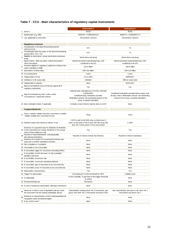## **Table 7 - CCA - Main characteristics of regulatory capital instruments**

|    |                                                                                                                                                        | <b>Instrument1</b>                                                                                                                                                                                | <b>Instrument 2</b>                                                                                                                                     |
|----|--------------------------------------------------------------------------------------------------------------------------------------------------------|---------------------------------------------------------------------------------------------------------------------------------------------------------------------------------------------------|---------------------------------------------------------------------------------------------------------------------------------------------------------|
|    | 1 <b>Issuer 1</b>                                                                                                                                      | <b>BCGE</b>                                                                                                                                                                                       | <b>BCGE</b>                                                                                                                                             |
| 2  | Identification (e.g. ISIN)                                                                                                                             | 50392437 / CH0503924372                                                                                                                                                                           | 36869771 / CH0368697717                                                                                                                                 |
|    | 3 Law applicable to instrument                                                                                                                         | Sw itzerland / Geneva                                                                                                                                                                             | Switzerland / Geneva                                                                                                                                    |
|    |                                                                                                                                                        |                                                                                                                                                                                                   |                                                                                                                                                         |
|    | <b>Regulatory treatment</b>                                                                                                                            |                                                                                                                                                                                                   |                                                                                                                                                         |
|    | Consideration in the Basel III transitional period<br>(CET1/AT1/T2)                                                                                    | AT <sub>1</sub>                                                                                                                                                                                   | T <sub>2</sub>                                                                                                                                          |
| 5  | Consideration after the expiry of the Basel III transitional                                                                                           | AT <sub>1</sub>                                                                                                                                                                                   | T <sub>2</sub>                                                                                                                                          |
| 6  | period (CET1 / AT1 / T2)<br>Eligibility at stand-alone / group stand-alone and group                                                                   | Stand-alone and group                                                                                                                                                                             | Stand-alone and group                                                                                                                                   |
|    | levels<br>Equity shares / debt securities / hybrid instruments /                                                                                       | Hybrid instrument (subordinated loan, with                                                                                                                                                        | Hybrid instrument (subordinated loan, with                                                                                                              |
| 7  | other instruments                                                                                                                                      | conditional w rite-off)                                                                                                                                                                           | conditional w rite-off)                                                                                                                                 |
| 8  | Amounts eligible for regulatory capital (according to last<br>report submitted to SNB)                                                                 | 134.8 million                                                                                                                                                                                     | 109.8 million                                                                                                                                           |
| 9  | Instrument's nominal value                                                                                                                             | CHF 135 million                                                                                                                                                                                   | CHF 110 million                                                                                                                                         |
|    | 10 Accounting items                                                                                                                                    | Loans                                                                                                                                                                                             | Loans                                                                                                                                                   |
|    | 11 Original date of issue                                                                                                                              | 12.11.2019                                                                                                                                                                                        | 28/06/2017                                                                                                                                              |
|    | 12 Unlimited or with expiry date                                                                                                                       | Unlimited                                                                                                                                                                                         | With an expiry date                                                                                                                                     |
|    | 13 Original date of maturity                                                                                                                           | None                                                                                                                                                                                              | 28.06.2017                                                                                                                                              |
| 14 | May be cancelled by issuer (with prior approval of<br>requlatory authorities)                                                                          | Yes                                                                                                                                                                                               | Yes                                                                                                                                                     |
| 15 | May be terminated any time / under certain<br>circumstances / repayment amount                                                                         | Optional early redemptiom as from First Call Date<br>(12/05/2025).<br>Conditional early redemption possible.<br>Redemption amount: full outstanding amount of the<br>issue, no partial redemption | Conditional redemption possible before expiry with<br>30 days notice. Redemption amount: full outstanding<br>amount of the issue, no partial redemption |
|    | 16 Early redemption dates, if applicable                                                                                                               | Annually at each interest maturity date on 12.05                                                                                                                                                  | None                                                                                                                                                    |
|    | Coupons/dividends                                                                                                                                      |                                                                                                                                                                                                   |                                                                                                                                                         |
| 17 | Fixed / variable / initially fixed then converted to variable<br>/ initially variable then converted tof ixed                                          | Fixed                                                                                                                                                                                             | Fixed                                                                                                                                                   |
|    | 18 Nominal coupon and reference indices, if any                                                                                                        | 1.875 % until 12.05.2025, then re-fixed every 5<br>years on the basis of the 5-year CHF mid swap rate<br>plus 243.7 basis points for the risk premium                                             | 1.125%                                                                                                                                                  |
|    | Existence of a payment stop for dividends (if dividends<br>19 on the instrument are w aived, dividends on the normal<br>share will be omitted as well) | Yes                                                                                                                                                                                               | Yes                                                                                                                                                     |
| 20 | Payment of interest/dividends: entirely/partially<br>discretionary/mandatory                                                                           | Payment of interest entirely discretionary                                                                                                                                                        | Payment of interest mandatory                                                                                                                           |
| 21 | Existence of a clause for increasing the interest rate<br>(step up) or another redemption incentive                                                    | None                                                                                                                                                                                              | None                                                                                                                                                    |
|    | 22 Non-cumulative or cumulative                                                                                                                        | None                                                                                                                                                                                              | None                                                                                                                                                    |
|    | 23 Convertible or non-convertible                                                                                                                      | None                                                                                                                                                                                              | None                                                                                                                                                    |
|    | 24 If convertible, trigger for conversion (including PONV)                                                                                             | None                                                                                                                                                                                              | None                                                                                                                                                    |
|    | If convertible: in full in all cases / in full or partially /<br>partially in all cases                                                                | None                                                                                                                                                                                              | None                                                                                                                                                    |
|    | 26 If convertible, conversion rate                                                                                                                     | None                                                                                                                                                                                              | None                                                                                                                                                    |
|    | 27 If convertible, conversion mandatory/optional                                                                                                       | None                                                                                                                                                                                              | None                                                                                                                                                    |
|    | 28 If convertible, type of instrument to be converted into                                                                                             | None                                                                                                                                                                                              | None                                                                                                                                                    |
|    | 29 If convertible, issuer of instrument to be converted into                                                                                           | None                                                                                                                                                                                              | None                                                                                                                                                    |
|    | 30 Depreciation characteristics                                                                                                                        | Yes                                                                                                                                                                                               | Yes                                                                                                                                                     |
| 31 | Trigger for depreciation                                                                                                                               | Exceeding the 5.125% threshold for CET1                                                                                                                                                           | Viability event                                                                                                                                         |
|    | 32 In full/partially                                                                                                                                   | In full or partially. To get back to the trigger threshold<br>(5.125%)                                                                                                                            | None                                                                                                                                                    |
|    | 33 Permanent/temporary                                                                                                                                 | Permanent                                                                                                                                                                                         | None                                                                                                                                                    |
|    | 34 In case of temporary depreciation, allocation mechanism                                                                                             | None                                                                                                                                                                                              | None                                                                                                                                                    |
| 35 | Hierarchy of debt in case of liquidation (alw ays name<br>the instrument with the ranking immediately above)                                           | Subordination ranking below Tier 2 instruments, pari<br>passu w ith other Tier 1 instruments and above CET1                                                                                       | Non-subordinated, pari passu w ith other Tier 2<br>instruments and above Tier 1                                                                         |
| 36 | Existence of characteristics w hich could jeopardise full<br>recognition under the Basel III regime                                                    | None                                                                                                                                                                                              | None                                                                                                                                                    |
|    | 37 If yes, which ones?                                                                                                                                 | None                                                                                                                                                                                              | None                                                                                                                                                    |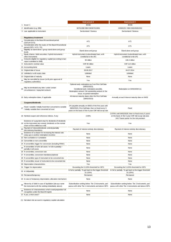|                |                                                                                                                                                        | <b>Instrument 3</b>                                                                                                                                               | <b>Instrument 4</b>                                                                                                                                   |
|----------------|--------------------------------------------------------------------------------------------------------------------------------------------------------|-------------------------------------------------------------------------------------------------------------------------------------------------------------------|-------------------------------------------------------------------------------------------------------------------------------------------------------|
| 1              | <b>Issuer 1</b>                                                                                                                                        | <b>BCGE</b>                                                                                                                                                       | <b>BCGE</b>                                                                                                                                           |
| 2              | Identification (e.g. ISIN)                                                                                                                             | 36701398/ ISIN CH0367013981                                                                                                                                       | 24569155 / ISIN CH0245691552                                                                                                                          |
|                | 3 Law applicable to instrument                                                                                                                         | Switzerland / Geneva                                                                                                                                              | Sw itzerland / Geneva                                                                                                                                 |
|                | <b>Regulatory treatment</b>                                                                                                                            |                                                                                                                                                                   |                                                                                                                                                       |
|                | Consideration in the Basel III transitional period<br>(CET1/AT1/T2)                                                                                    | AT <sub>1</sub>                                                                                                                                                   | AT <sub>1</sub>                                                                                                                                       |
| 5              | Consideration after the expiry of the Basel III transitional<br>period (CET1 / AT1 / T2)                                                               | AT <sub>1</sub>                                                                                                                                                   | AT1                                                                                                                                                   |
| 6              | Eligibility at stand-alone / group stand-alone and group<br>levels                                                                                     | Stand-alone and group                                                                                                                                             | Stand-alone and group                                                                                                                                 |
| $\overline{7}$ | Equity shares / debt securities / hybrid instruments /<br>other instruments                                                                            | Hybrid instrument (subordinated loan, with<br>conditional w rite-off)                                                                                             | Hybrid instrument (subordinated loan, with<br>conditional w rite-off)                                                                                 |
| 8              | Amounts eligible for regulatory capital (according to last<br>report submitted to SNB)                                                                 | 90 million                                                                                                                                                        | 108.4 million                                                                                                                                         |
|                | 9 Instrument's nominal value                                                                                                                           | CHF 90 million                                                                                                                                                    | CHF 110 million                                                                                                                                       |
|                | 10 Accounting items                                                                                                                                    | Loans                                                                                                                                                             | Loans                                                                                                                                                 |
|                | 11 Original date of issue                                                                                                                              | 28.06.2017                                                                                                                                                        | 04.07.2014                                                                                                                                            |
|                | 12 Unlimited or with expiry date                                                                                                                       | Unlimited                                                                                                                                                         | Unlimited                                                                                                                                             |
|                | 13 Original date of maturity                                                                                                                           | None                                                                                                                                                              | None                                                                                                                                                  |
|                | May be cancelled by issuer (with prior approval of                                                                                                     |                                                                                                                                                                   |                                                                                                                                                       |
| 14             | regulatory authorities)                                                                                                                                | Yes                                                                                                                                                               | Yes                                                                                                                                                   |
| 15             | May be terminated any time / under certain<br>circumstances / repayment amount                                                                         | Optional early redemptiom as from First Call Date<br>(08/02/2023).<br>Conditional early redemption possible.<br>Redemption amount: full outstanding amount of the | Redemption on 04/02/2020 (1)                                                                                                                          |
|                | 16 Early redemption dates, if applicable                                                                                                               | issue, no partial redemption<br>All interest maturity dates after the First Call Date<br>(08/02/2023)                                                             | Annually at each interest maturity date on 04/02                                                                                                      |
|                | Coupons/dividends                                                                                                                                      |                                                                                                                                                                   |                                                                                                                                                       |
|                | Fixed / variable / initially fixed then converted to variable<br>/ initially variable then converted tof ixed                                          | 2% payable annually on 08/02 of the first year until<br>08/02/2023, First Call Date, then re-fixed every 5<br>years on the basis of the 5-year CHF mid-sw ap rate | Fixed                                                                                                                                                 |
|                | 18 Nominal coupon and reference indices, if any                                                                                                        | 2.00%                                                                                                                                                             | 2.875% until 04/02/2020, then re-fixed every 5 years<br>on the basis of the 5-year CHF mid sw ap rate plus<br>243.7 basis points for the risk premium |
|                | Existence of a payment stop for dividends (if dividends<br>19 on the instrument are w aived, dividends on the normal<br>share will be omitted as well) | Yes                                                                                                                                                               | Yes                                                                                                                                                   |
| 20             | Payment of interest/dividends: entirely/partially<br>discretionary/mandatory                                                                           | Payment of interest entirely discretionary                                                                                                                        | Payment of interest entirely discretionary                                                                                                            |
| 21             | Existence of a clause for increasing the interest rate<br>(step up) or another redemption incentive                                                    | None                                                                                                                                                              | None                                                                                                                                                  |
|                | 22 Non-cumulative or cumulative                                                                                                                        | None                                                                                                                                                              | None                                                                                                                                                  |
|                | 23 Convertible or non-convertible                                                                                                                      | None                                                                                                                                                              | None                                                                                                                                                  |
|                | 24 If convertible, trigger for conversion (including PONV)                                                                                             | None                                                                                                                                                              | None                                                                                                                                                  |
| 25             | If convertible: in full in all cases / in full or partially /<br>partially in all cases                                                                | None                                                                                                                                                              | None                                                                                                                                                  |
|                | 26 If convertible, conversion rate                                                                                                                     | None                                                                                                                                                              | None                                                                                                                                                  |
|                | 27 If convertible, conversion mandatory/optional                                                                                                       | None                                                                                                                                                              | None                                                                                                                                                  |
|                | 28 If convertible, type of instrument to be converted into                                                                                             | None                                                                                                                                                              | None                                                                                                                                                  |
|                | 29 If convertible, issuer of instrument to be converted into                                                                                           | None                                                                                                                                                              | None                                                                                                                                                  |
|                |                                                                                                                                                        |                                                                                                                                                                   |                                                                                                                                                       |
|                | 30 Depreciation characteristics                                                                                                                        | Yes                                                                                                                                                               | Yes                                                                                                                                                   |
|                | 31 Trigger for depreciation                                                                                                                            | Exceeding the 5.125% threshold for CET1                                                                                                                           | Exceeding the 5.125% threshold for CET1                                                                                                               |
|                | 32 In full/partially                                                                                                                                   | In full or partially. To get back to the trigger threshold<br>(5.125%)                                                                                            | In full or partially. To get back to the trigger threshold<br>(5.125%)                                                                                |
|                | 33 Permanent/temporary                                                                                                                                 | Permanent                                                                                                                                                         | Permanent                                                                                                                                             |
|                | 34 In case of temporary depreciation, allocation mechanism                                                                                             | None                                                                                                                                                              | None                                                                                                                                                  |
| 35             | Hierarchy of debt in case of liquidation (alw ays name<br>the instrument with the ranking immediately above)                                           | Subordination ranking below Tier 2 instruments, pari<br>passu w ith other Tier 1 instruments and above CET1                                                       | Subordination ranking below Tier 2 instruments, pari<br>passu with other Tier 1 instruments and above CET1                                            |
| 36             | Existence of characteristics w hich could jeopardise full<br>recognition under the Basel III regime                                                    | None                                                                                                                                                              | None                                                                                                                                                  |
|                | 37 If yes, w hich ones?                                                                                                                                | None                                                                                                                                                              | None                                                                                                                                                  |

(1) Not taken into account in regulatory capital calculation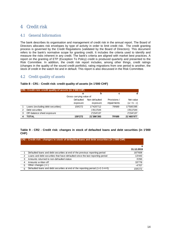# 4 Credit risk

#### 4.1 General Information

The bank describes its organisation and management of credit risk in the annual report. The Board of Directors allocates risk envelopes by type of activity in order to limit credit risk. The credit granting process is governed by the Credit Regulations (validated by the Board of Directors). This document refers to the bank's normative scope for granting credit. It includes the criteria used to identify and measure the risks inherent in any credit. The bank's criteria are aligned with market best practices. A report on the granting of ETP (Exception To Policy) credit is produced quarterly and presented to the Risk Committee. In addition, the credit risk report includes, among other things, credit ratings (changes in the quality of the sound credit portfolio), rating migrations from one period to another, the stock of credit in the watch list and in default. This report is also discussed in the Risk Committee.

## 4.2 Credit quality of assets

|               | CR1: Credit risk: credit quality of assets (in 1'000 CHF) |           |               |                    |               |  |  |  |  |  |  |  |  |  |
|---------------|-----------------------------------------------------------|-----------|---------------|--------------------|---------------|--|--|--|--|--|--|--|--|--|
|               |                                                           | a         | b             | с                  | d             |  |  |  |  |  |  |  |  |  |
|               | Gross carrying value of                                   |           |               |                    |               |  |  |  |  |  |  |  |  |  |
|               |                                                           | Defaulted | Non-defaulted | Provisions /       | Net value     |  |  |  |  |  |  |  |  |  |
|               |                                                           | exposure  | exposure      | <i>impairments</i> | $(a + b - c)$ |  |  |  |  |  |  |  |  |  |
|               | Loans (excluding debt securities)                         | 159'272   | 17'420'712    | 79'689             | 17'500'295    |  |  |  |  |  |  |  |  |  |
| $\mathcal{P}$ | Debt securities                                           |           | 1'811'544     |                    | 1'811'544     |  |  |  |  |  |  |  |  |  |
| 3             | Off-balance sheet exposure                                |           | 2'154'137     |                    | 2'154'137     |  |  |  |  |  |  |  |  |  |
|               | TOTAL                                                     | 159'272   | 21'386'393    | 79'689             | 21'465'977    |  |  |  |  |  |  |  |  |  |

#### **Table 8 - CR1 - Credit risk: credit quality of assets (in 1'000 CHF)**

#### **Table 9 - CR2 - Credit risk: changes in stock of defaulted loans and debt securities (in 1'000 CHF)**

#### **CR2 : Credit risk : changes in stock of defaulted loans and debt securities (in 1'000 CHF)**

|   |                                                                                  | а          |
|---|----------------------------------------------------------------------------------|------------|
|   |                                                                                  | 31.12.2019 |
|   | Defaulted loans and debt securities at end of the previous reporting period      | 187'608    |
| 2 | Loans and debt securities that have defaulted since the last reporting period    | 13'443     |
| 3 | Amounts returned to non-defaulted status                                         | 3'293      |
| 4 | Amounts w ritten off                                                             | 33'778     |
| 5 | Other changes $(+/-)$                                                            | -4'707     |
| 6 | Defaulted loans and debt securities at end of the reporting period $(1+2-3-4+5)$ | 159'272    |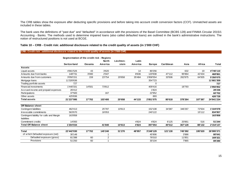The CRB tables show the exposure after deducting specific provisions and before taking into account credit conversion factors (CCF). Unmatched assets are included in these tables.

The bank uses the definitions of "past due" and "defaulted" in accordance with the provisions of the Basel Committee (BCBS 128) and FINMA Circular 2015/1 Accounting - Banks. The methods used to determine impaired loans (also called defaulted loans) are outlined in the bank's administrative instructions. The notion of restructured positions is not used at BCGE.

**Table 10 – CRB - Credit risk: additional disclosure related to the credit quality of assets (in 1'000 CHF)**

|                                           | Segmentation of the credit risk - Regions |         |                |           |         |           |           |         |         |              |
|-------------------------------------------|-------------------------------------------|---------|----------------|-----------|---------|-----------|-----------|---------|---------|--------------|
|                                           |                                           |         | <b>North</b>   | Liechten- | Latin   |           |           |         |         |              |
|                                           | Switzerland                               | Oceania | America        | stein     | America | Europe    | Caribbean | Asia    | Africa  | <b>Total</b> |
| <b>Assets</b>                             |                                           |         |                |           |         |           |           |         |         |              |
| Liquid assets                             | 4'661'526                                 | 43      | 3'620          |           | 14      | 80'256    |           | 632     | 19      | 4'746'110    |
| Amounts due from banks                    | 148'731                                   | 3'000   | 2'047          |           | 8'636   | 120'938   | 47'112    | 95'964  | 42'434  | 468'861      |
| Amounts due from customers                | 3'050'151                                 | 159     | 23'754         | 20'658    | 35'484  | 1'858'554 | 33'506    | 262'875 | 64'935  | 5'350'075    |
| Mortgage loans                            | 11'326'636                                |         |                |           |         | 354'723   |           |         |         | 11'681'359   |
| Trading portfolio assets                  | 727                                       |         |                |           |         | 0         |           |         |         | 727          |
| Financial investments                     | 1'440'331                                 | 14'501  | 73'812         |           |         | 409'416   |           | 18'793  |         | 1'956'852    |
| Accrued income and prepaid expenses       | 26'412                                    |         |                |           |         | 1'824     |           |         |         | 28'236       |
| Participations                            | 37'583                                    |         | 167            |           |         | 22'952    |           |         |         | 60'702       |
| Other assets                              | 425'836                                   |         |                |           |         | 893       |           |         |         | 426'728      |
| <b>Total assets</b>                       | 21'237'995                                | 17'702  | 103'400        | 20'658    | 44'133  | 2'851'075 | 80'618    | 378'264 | 107'387 | 24'841'234   |
|                                           |                                           |         |                |           |         |           |           |         |         |              |
| <b>Off Balance sheet</b>                  |                                           |         |                |           |         |           |           |         |         |              |
| Contingent liabilities                    | 462'413                                   |         | 25'787         | 10'613    |         | 152'108   | 34'387    | 346'267 | 72'504  | 1'104'078    |
| Irrevocable commitments                   | 563'670                                   |         | 16'053         |           |         | 240'122   |           |         | 15'112  | 834'957      |
| Contingent liability for calls and Margin | 163'858                                   |         |                |           |         |           |           |         |         | 163'858      |
| liabilities                               |                                           |         |                |           |         |           |           |         |         |              |
| Commitment credits                        | 14'093                                    |         |                |           | 4'824   | 4'824     | 6'125     | 20'861  | 516     | 51'244       |
| <b>Total Off Balance sheet</b>            | 1'204'034                                 |         | 41'840         | 10'613    | 4'824   | 397'054   | 40'512    | 367'128 | 88'132  | 2'154'137    |
|                                           |                                           |         |                |           |         |           |           |         |         |              |
| <b>Total</b>                              | 22'442'030                                | 17'702  | 145'240        | 31'270    | 48'957  | 3'248'129 | 121'130   | 745'392 | 195'520 | 26'995'371   |
| of which Defaulted exposure (net)         | 30'148                                    |         | -1             |           |         | 45'906    |           | 3'986   |         | 80'041       |
| Defaulted exposure (gross)                | 81'398                                    | 60      | $\overline{2}$ |           |         | 76'010    |           | 11'851  |         | 169'321      |
| Provisions                                | 51'250                                    | 60      |                |           |         | 30'104    |           | 7'865   |         | 89'280       |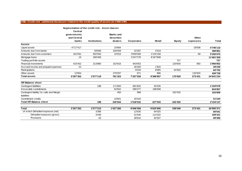|                                           | Segmentation of the credit risk - Asset classes |                     |                   |            |           |               |           |              |
|-------------------------------------------|-------------------------------------------------|---------------------|-------------------|------------|-----------|---------------|-----------|--------------|
|                                           | <b>Central</b>                                  |                     |                   |            |           |               |           |              |
|                                           | governments                                     |                     | <b>Banks and</b>  |            |           |               |           |              |
|                                           | and Central                                     |                     | <b>Securities</b> |            |           |               | Other     |              |
|                                           | banks                                           | <b>Institutions</b> | dealers           | Corporates | Retail    | <b>Equity</b> | exposures | <b>Total</b> |
| <b>Assets</b>                             |                                                 |                     |                   |            |           |               |           |              |
| Liquid assets                             | 4'717'417                                       |                     | 10'684            |            |           |               | 18'008    | 4'746'110    |
| Amounts due from banks                    |                                                 | 93'846              | 328'409           | 42'287     | 4'319     |               |           | 468'861      |
| Amounts due from customers                | 161'591                                         | 902'933             | 10'016            | 3'059'309  | 1'216'158 |               | 69        | 5'350'075    |
| Mortgage loans                            | 15                                              | 266'458             |                   | 3'247'278  | 8'167'608 |               |           | 11'681'359   |
| Trading portfolio assets                  |                                                 |                     |                   |            |           | 727           |           | 727          |
| <b>Financial investments</b>              | 415'452                                         | 313'880             | 152'916           | 943'053    |           | 130'600       | 950       | 1'956'852    |
| Accrued income and prepaid expenses       | 22                                              |                     |                   | 26'393     | 1'820     |               |           | 28'236       |
| Participations                            |                                                 |                     |                   | 8'334      | 8'065     | 44'303        |           | 60'702       |
| Other assets                              | 12'854                                          |                     | 279'297           | 871        | 886       |               | 132'820   | 426'728      |
| <b>Total assets</b>                       | 5'307'352                                       | 1'577'118           | 781'323           | 7'327'526  | 9'398'857 | 175'629       | 273'431   | 24'841'234   |
| <b>Off Balance sheet</b>                  |                                                 |                     |                   |            |           |               |           |              |
| Contingent liabilities                    |                                                 | 198                 | 171'850           | 891'825    | 40'205    |               |           | 1'104'078    |
| Irrevocable commitments                   |                                                 |                     | 62'842            | 585'277    | 186'838   |               |           | 834'957      |
| Contingent liability for calls and Margin |                                                 |                     | 450               | 988        |           | 162'420       |           | 163'858      |
| liabilities                               |                                                 |                     |                   |            |           |               |           |              |
| Commitment credits                        |                                                 |                     | 10'801            | 40'443     |           |               |           | 51'244       |
| <b>Total Off Balance sheet</b>            |                                                 | 198                 | 245'944           | 1'518'532  | 227'043   | 162'420       |           | 2'154'137    |
| <b>Total</b>                              | 5'307'352                                       | 1'577'315           | 1'027'266         | 8'846'058  | 9'625'900 | 338'049       | 273'431   | 26'995'371   |
| of which Defaulted exposure (net)         |                                                 | 3'386               |                   | 12'630     | 64'025    |               |           | 80'041       |
| Defaulted exposure (gross)                |                                                 | 3'449               |                   | 51'540     | 114'332   |               |           | 169'321      |
| Provisions                                |                                                 | 63                  |                   | 38'910     | 50'307    |               |           | 89'280       |
|                                           |                                                 |                     |                   |            |           |               |           |              |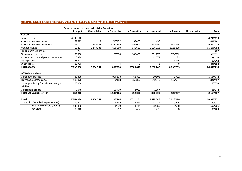|                                           | Segmentation of the credit risk - Duration |                    |                  |              |              |           |             |            |
|-------------------------------------------|--------------------------------------------|--------------------|------------------|--------------|--------------|-----------|-------------|------------|
|                                           | At sight                                   | <b>Cancellable</b> | $\cdot$ 3 months | $> 3$ months | > 1 year and | > 5 years | No maturity | Total      |
| <b>Assets</b>                             |                                            |                    |                  |              |              |           |             |            |
| Liquid assets                             | 4'746'110                                  |                    |                  |              |              |           |             | 4'746'110  |
| Amounts due from banks                    | 132'393                                    | 19                 | 243'472          | 92'485       | 492          |           |             | 468'861    |
| Amounts due from customers                | 1'323'742                                  | 158'547            | 1'177'245        | 384'063      | 1'333'795    | 972'684   |             | 5'350'075  |
| Mortgage loans                            | 18'234                                     | 2'148'185          | 639'950          | 643'639      | 3'095'013    | 5'136'338 |             | 11'681'359 |
| Trading portfolio assets                  | 727                                        |                    |                  |              |              |           |             | 727        |
| Financial investments                     | 153'050                                    |                    | 39'298           | 188'430      | 791'272      | 784'802   |             | 1'956'852  |
| Accrued income and prepaid expenses       | 16'380                                     |                    |                  |              | 11'673       | 183       |             | 28'236     |
| Participations                            | 58'927                                     |                    |                  |              |              | 1'775     |             | 60'702     |
| Other assets                              | 426'723                                    |                    | $\overline{4}$   | 0            |              | $\Omega$  |             | 426'728    |
| <b>Total assets</b>                       | 6'997'868                                  | 2'306'751          | 2'099'970        | 1'308'618    | 5'232'245    | 6'895'783 |             | 24'841'234 |
|                                           |                                            |                    |                  |              |              |           |             |            |
| <b>Off Balance sheet</b>                  |                                            |                    |                  |              |              |           |             |            |
| Contingent liabilities                    | 38'835                                     |                    | 986'633          | 56'302       | 19'605       | 2'702     |             | 1'104'078  |
| Irrevocable commitments                   | 139'870                                    |                    | 80'153           | 155'300      | 342'040      | 117'594   |             | 834'957    |
| Contingent liability for calls and Margin | 163'858                                    |                    |                  |              |              |           |             | 163'858    |
| liabilities                               |                                            |                    |                  |              |              |           |             |            |
| Commitment credits                        | 9'648                                      |                    | 39'409           | 1'031        | 1'157        |           |             | 51'244     |
| <b>Total Off Balance sheet</b>            | 352'212                                    |                    | 1'106'195        | 212'633      | 362'801      | 120'297   |             | 2'154'137  |
|                                           |                                            |                    |                  |              |              |           |             |            |
| Total                                     | 7'350'080                                  | 2'306'751          | 3'206'164        | 1'521'251    | 5'595'046    | 7'016'079 |             | 26'995'371 |
| of which Defaulted exposure (net)         | 58'871                                     |                    | 5'162            | 1'258        | 11'275       | 3'476     |             | 80'041     |
| Defaulted exposure (gross)                | 145'489                                    |                    | 5'879            | 1'744        | 12'550       | 3'658     |             | 169'321    |
| Provisions                                | 86'618                                     |                    | 717              | 487          | 1'275        | 183       |             | 89'280     |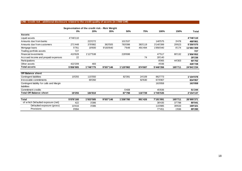|                                           | Segmentation of the credit risk - Risk Weight |           |           |           |         |           |         |            |
|-------------------------------------------|-----------------------------------------------|-----------|-----------|-----------|---------|-----------|---------|------------|
|                                           | 0%                                            | 20%       | 35%       | 50%       | 75%     | 100%      | 150%    | Total      |
| <b>Assets</b>                             |                                               |           |           |           |         |           |         |            |
| Liquid assets                             | 4'746'110                                     |           |           |           |         |           |         | 4'746'110  |
| Amounts due from banks                    |                                               | 223'272   |           | 101'537   |         | 140'575   | 3'478   | 468'861    |
| Amounts due from customers                | 271'448                                       | 378'882   | 363'505   | 783'098   | 383'119 | 3'140'399 | 29'623  | 5'350'075  |
| Mortgage loans                            | 5'761                                         | 18'600    | 9'193'640 | 7'648     | 491'494 | 1'956'040 | 8'174   | 11'681'359 |
| Trading portfolio assets                  | 727                                           |           |           |           |         |           |         | 727        |
| Financial investments                     | 410'628                                       | 1'127'538 |           | 228'698   |         | 47'517    | 80'132  | 1'956'852  |
| Accrued income and prepaid expenses       | 22                                            |           |           |           | 74      | 28'140    |         | 28'236     |
| Participations                            |                                               |           |           |           |         | 8'065     | 44'303  | 60'702     |
| Other assets                              | 422'209                                       | 483       |           |           |         | 4'036     |         | 426'728    |
| <b>Total assets</b>                       | 5'856'905                                     | 1'748'775 | 9'557'146 | 1'120'982 | 874'687 | 5'446'356 | 165'711 | 24'841'234 |
|                                           |                                               |           |           |           |         |           |         |            |
| <b>Off Balance sheet</b>                  |                                               |           |           |           |         |           |         |            |
| Contingent liabilities                    | 19'255                                        | 115'550   |           | 82'391    | 24'109  | 862'773   |         | 1'104'078  |
| Irrevocable commitments                   |                                               | 69'260    |           |           | 92'630  | 673'067   |         | 834'957    |
| Contingent liability for calls and Margin |                                               |           |           |           |         | 163'858   |         | 163'858    |
| liabilities                               |                                               |           |           |           |         |           |         |            |
| Commitment credits                        |                                               |           |           | 5'408     |         | 45'836    |         | 51'244     |
| <b>Total Off Balance sheet</b>            | 19'255                                        | 184'810   |           | 87'798    | 116'739 | 1'745'535 |         | 2'154'137  |
|                                           |                                               |           |           |           |         |           |         |            |
| <b>Total</b>                              | 5'876'160                                     | 1'933'585 | 9'557'146 | 1'208'780 | 991'426 | 7'191'891 | 165'711 | 26'995'371 |
| of which Defaulted exposure (net)         | 422                                           | 3'386     |           |           |         | 38'435    | 37'798  | 80'041     |
| Defaulted exposure (gross)                | 10'416                                        | 3'386     |           |           |         | 115'885   | 39'633  | 169'321    |
| Provisions                                | 9'994                                         |           |           |           |         | 77'451    | 1'836   | 89'280     |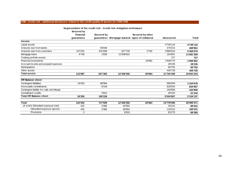|                                           | segmentation of the credit risk - Credit risk initigation techniques<br>Secured by |            |            |                                                |                  |              |
|-------------------------------------------|------------------------------------------------------------------------------------|------------|------------|------------------------------------------------|------------------|--------------|
|                                           | financial                                                                          | Secured by |            | Secured by other                               |                  |              |
|                                           | guarantees                                                                         |            |            | guarantees Mortgage-backed types of collateral | <b>Unsecured</b> | <b>Total</b> |
| <b>Assets</b>                             |                                                                                    |            |            |                                                |                  |              |
| Liquid assets                             |                                                                                    |            |            |                                                | 4'746'110        | 4'746'110    |
| Amounts due from banks                    |                                                                                    | 93'846     |            |                                                | 375'015          | 468'861      |
| Amounts due from customers                | 107'252                                                                            | 531'698    | 827'728    | 2'782                                          | 3'880'616        | 5'350'075    |
| Mortgage loans                            | 5'746                                                                              | 1'839      | 11'508'822 |                                                | 164'951          | 11'681'359   |
| Trading portfolio assets                  |                                                                                    |            |            |                                                | 727              | 727          |
| Financial investments                     |                                                                                    |            |            | 18'082                                         | 1'938'770        | 1'956'852    |
| Accrued income and prepaid expenses       |                                                                                    |            |            |                                                | 28'236           | 28'236       |
| Participations                            |                                                                                    |            |            |                                                | 60'702           | 60'702       |
| Other assets                              |                                                                                    |            |            |                                                | 426'728          | 426'728      |
| <b>Total assets</b>                       | 112'997                                                                            | 627'383    | 12'336'550 | 20'864                                         | 11'743'439       | 24'841'234   |
|                                           |                                                                                    |            |            |                                                |                  |              |
| Off Balance sheet                         |                                                                                    |            |            |                                                |                  |              |
| Contingent liabilities                    | 19'255                                                                             | 88'984     |            |                                                | 995'839          | 1'104'078    |
| Irrevocable commitments                   |                                                                                    | 6'418      |            |                                                | 828'540          | 834'957      |
| Contingent liability for calls and Margin |                                                                                    |            |            |                                                | 163'858          | 163'858      |
| Commitment credits                        |                                                                                    | 4'824      |            |                                                | 46'420           | 51'244       |
| <b>Total Off Balance sheet</b>            | 19'255                                                                             | 100'226    |            |                                                | 2'034'657        | 2'154'137    |
| <b>Total</b>                              | 132'252                                                                            | 727'609    | 12'336'550 | 20'864                                         | 13'778'095       | 26'995'371   |
| of which Defaulted exposure (net)         | 422                                                                                | 3'386      | 42'992     |                                                | 33'241           | 80'041       |
| Defaulted exposure (gross)                | 425                                                                                | 3'386      | 48'994     |                                                | 116'515          | 169'321      |
| Provisions                                | 2                                                                                  |            | 6'003      |                                                | 83'275           | 89'280       |

**Segmentation of the credit risk - Credit risk mitigation techniques**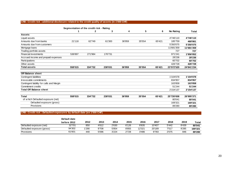| $\sf CRB$ : Credit risk : additional disclosure related to the credit quality of assets (in 1'000 CHF) |  |
|--------------------------------------------------------------------------------------------------------|--|
|--------------------------------------------------------------------------------------------------------|--|

|                                           | Segmentation of the credit risk - Rating |         |         |        |        |        |            |            |
|-------------------------------------------|------------------------------------------|---------|---------|--------|--------|--------|------------|------------|
|                                           |                                          | 2       | 3       | 4      | 5      | 6      | No Rating  | Total      |
| <b>Assets</b>                             |                                          |         |         |        |        |        |            |            |
| Liquid assets                             |                                          |         |         |        |        |        | 4'746'110  | 4'746'110  |
| Amounts due from banks                    | 21'118                                   | 62'749  | 61'300  | 36'959 | 35'554 | 65'421 | 185'759    | 468'861    |
| Amounts due from customers                |                                          |         |         |        |        |        | 5'350'075  | 5'350'075  |
| Mortgage loans                            |                                          |         |         |        |        |        | 11'681'359 | 11'681'359 |
| Trading portfolio assets                  |                                          |         |         |        |        |        | 727        | 727        |
| <b>Financial investments</b>              | 536'897                                  | 271'984 | 176'731 |        |        |        | 971'241    | 1'956'852  |
| Accrued income and prepaid expenses       |                                          |         |         |        |        |        | 28'236     | 28'236     |
| Participations                            |                                          |         |         |        |        |        | 60'702     | 60'702     |
| Other assets                              |                                          |         |         |        |        |        | 426'728    | 426'728    |
| <b>Total assets</b>                       | 558'015                                  | 334'732 | 238'031 | 36'959 | 35'554 | 65'421 | 23'572'520 | 24'841'234 |
|                                           |                                          |         |         |        |        |        |            |            |
| Off Balance sheet                         |                                          |         |         |        |        |        |            |            |
| Contingent liabilities                    |                                          |         |         |        |        |        | 1'104'078  | 1'104'078  |
| Irrevocable commitments                   |                                          |         |         |        |        |        | 834'957    | 834'957    |
| Contingent liability for calls and Margin |                                          |         |         |        |        |        | 163'858    | 163'858    |
| Commitment credits                        |                                          |         |         |        |        |        | 51'244     | 51'244     |
| <b>Total Off Balance sheet</b>            |                                          |         |         |        |        |        | 2'154'137  | 2'154'137  |
| <b>Total</b>                              | 558'015                                  | 334'732 | 238'031 | 36'959 | 35'554 | 65'421 | 25'726'658 | 26'995'371 |
| of which Defaulted exposure (net)         |                                          |         |         |        |        |        | 80'041     | 80'041     |
| Defaulted exposure (gross)                |                                          |         |         |        |        |        | 169'321    | 169'321    |
| Provisions                                |                                          |         |         |        |        |        | 89'280     | 89'280     |

#### **CRB : Credit risk : Defaulted exposures by default date (en 1'000 CHF)**

|                            | Default date |       |       |       |       |        |        |       |       |         |
|----------------------------|--------------|-------|-------|-------|-------|--------|--------|-------|-------|---------|
|                            | before 2012  | 2012  | 2013  | 2014  | 2015  | 2016   | 2017   | 2018  | 2019  | Total   |
| Defaulted exposure (net)   | 32'701       | 850   | 4'612 | 2'630 | 6'126 | 8'835  | 10'407 | 5'442 | 8'439 | 80'041  |
| Defaulted exposure (gross) | 94'302       | l'290 | 9'708 | 5'854 | 8'855 | 12'321 | 20'189 | 7'517 | 9'285 | 169'321 |
| Provisions                 | 61'601       | 440   | 5'096 | 3'224 | 2'728 | 3'486  | 9'783  | 2'075 | 846   | 89'280  |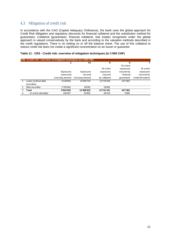## 4.3 Mitigation of credit risk

In accordance with the CAO (Capital Adequacy Ordinance), the bank uses the global approach for Credit Risk Mitigation and regulatory discounts for financial collateral and the substitution method for guarantees. Collateral (guarantees, financial collateral, real estate) recognised under the global approach is valued conservatively by the bank and according to the valuation methods described in the credit regulations. There is no netting on or off the balance sheet. The use of this collateral to reduce credit risk does not create a significant concentration on an issuer or guarantor.

#### **Table 11 - CR3 - Credit risk: overview of mitigation techniques (in 1'000 CHF)**

|   | CR3: Credit risk: overview of mitigation techniques (in 1'000 CHF) |                   |                   |               |            |                    |  |  |  |  |  |  |  |  |
|---|--------------------------------------------------------------------|-------------------|-------------------|---------------|------------|--------------------|--|--|--|--|--|--|--|--|
|   |                                                                    | a                 | b1                | b             | d          |                    |  |  |  |  |  |  |  |  |
|   |                                                                    |                   |                   |               | Of which   |                    |  |  |  |  |  |  |  |  |
|   |                                                                    |                   |                   | Of which      | exposures  | Of which           |  |  |  |  |  |  |  |  |
|   |                                                                    | Exposures         | Exposures         | exposures     | secured by | exposures          |  |  |  |  |  |  |  |  |
|   |                                                                    | unsecured         | secured           | secured       | financial  | secured by         |  |  |  |  |  |  |  |  |
|   |                                                                    | (carrying amount) | (carrying amount) | by collateral | quarantees | credit derivatives |  |  |  |  |  |  |  |  |
|   | Loans (without debt                                                | 4'149'563         | 13'350'733        | 12'723'349    | 627'383    |                    |  |  |  |  |  |  |  |  |
|   | securities)                                                        |                   |                   |               |            |                    |  |  |  |  |  |  |  |  |
| 2 | Debt securities                                                    | 1'793'462         | 18'082            | 18'082        |            |                    |  |  |  |  |  |  |  |  |
| 3 | <b>Total</b>                                                       | 5'943'025         | 13'368'815        | 12'741'431    | 627'383    |                    |  |  |  |  |  |  |  |  |
| 4 | of w hich defaulted                                                | 106'467           | 52'805            | 49'419        | 3'386      |                    |  |  |  |  |  |  |  |  |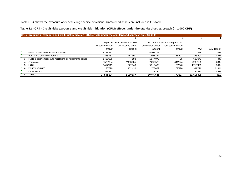Table CR4 shows the exposure after deducting specific provisions. Unmatched assets are included in this table.

#### **Table 12 - CR4 - Credit risk: exposure and credit risk mitigation (CRM) effects under the standardised approach (in 1'000 CHF)**

|                |     | CR4: Credit risk: exposure and credit risk mitigation (CRM) effects under the standardised approach (in 1'000 CHF) |                  |                              |                  |                                |            |             |
|----------------|-----|--------------------------------------------------------------------------------------------------------------------|------------------|------------------------------|------------------|--------------------------------|------------|-------------|
|                |     |                                                                                                                    | a                | D                            | C                | d                              | е          |             |
|                |     |                                                                                                                    |                  | Exposure pre-CCF and pre-CRM |                  | Exposure post-CCF and post-CRM |            |             |
|                |     |                                                                                                                    | On-balance sheet | Off-balance sheet            | On-balance sheet | Off-balance sheet              |            |             |
|                |     |                                                                                                                    | amount           | amount                       | amount           | amount                         | <b>RWA</b> | RWA density |
|                |     | Governments and their central banks                                                                                | 5'145'761        |                              | 5'307'176        |                                | 965        | 0%          |
|                |     | Banks and securities traders                                                                                       | 865'153          | 281'391                      | 496'387          | 58'702                         | 253'503    | 46%         |
|                |     | Public-sector entities and multilateral developments banks                                                         | 1'435'875        | 198                          | 1'577'072        | 75                             | 630'943    | 40%         |
|                |     | Corporate                                                                                                          | 7'528'334        | 1'483'085                    | 7'298'576        | 441'824                        | 5'298'163  | 68%         |
| 5 <sub>5</sub> |     | Retail                                                                                                             | 9'417'119        | 227'043                      | 9'318'438        | 109'346                        | 4'715'495  | 50%         |
|                | - 6 | Equity securities                                                                                                  | 175'629          | 162'420                      | 175'629          | 162'420                        | 391'026    | 116%        |
|                |     | Other assets                                                                                                       | 273'362          |                              | 273'362          |                                | 124'813    | 46%         |
|                | - 8 | <b>TOTAL</b>                                                                                                       | 24'841'234       | 2'154'137                    | 24'446'641       | 772'367                        | 11'414'908 | 45%         |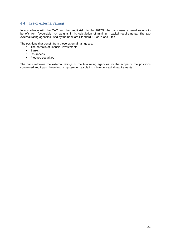## 4.4 Use of external ratings

In accordance with the CAO and the credit risk circular 2017/7, the bank uses external ratings to benefit from favourable risk weights in its calculation of minimum capital requirements. The two external rating agencies used by the bank are Standard & Poor's and Fitch.

The positions that benefit from these external ratings are:

- The portfolio of financial investments
- Banks
- Insurances
- Pledged securities

The bank retrieves the external ratings of the two rating agencies for the scope of the positions concerned and inputs these into its system for calculating minimum capital requirements.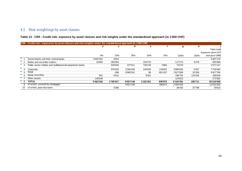# 4.5 Risk weightings by asset classes

## **Table 13 - CR5 - Credit risk: exposure by asset classes and risk weights under the standardised approach (in 1'000 CHF)**

|                | CR5: Credit risk: exposures by asset classes and risk weights under the standardised approach (in 1'000 CHF) |           |           |           |           |         |           |         |                     |
|----------------|--------------------------------------------------------------------------------------------------------------|-----------|-----------|-----------|-----------|---------|-----------|---------|---------------------|
|                |                                                                                                              | a         | c         | d         | е         |         | g         | h       |                     |
|                |                                                                                                              |           |           |           |           |         |           |         | <b>Total credit</b> |
|                |                                                                                                              |           |           |           |           |         |           |         | exposure (post-CCF  |
|                |                                                                                                              | 0%        | 20%       | 35%       | 50%       | 75%     | 100%      | 150%    | and post-CRM)       |
|                | Governments and their central banks                                                                          | 5'302'352 | 4'824     |           |           |         |           |         | 5'307'176           |
|                | Banks and securities traders                                                                                 | 10'684    | 269'383   |           | 154'270   |         | 117'273   | 3'478   | 555'089             |
|                | Public-sector entities and multilateral developments banks                                                   |           | 535'046   | 227'511   | 739'128   | 2'884   | 72'578    |         | 1'577'147           |
| $^{\bullet}$ 4 | Corporate                                                                                                    |           | 978'335   | 2'364'294 | 249'504   | 135'652 | 3'985'026 | 5'497   | 7'740'400           |
| $\mathsf{F}$ 5 | Retail                                                                                                       |           | 698       | 6'965'341 | 98        | 801'437 | 1'627'909 | 32'300  | 9'427'784           |
| <b>6</b>       | Equity securities                                                                                            | 941       | 4'531     |           | 9'351     |         | 198'792   | 124'435 | 338'049             |
|                | Other assets                                                                                                 | 148'549   |           |           |           |         | 124'813   |         | 273'362             |
| $^{\prime}$ 8  | <b>TOTAL</b>                                                                                                 | 5'462'526 | 1'792'817 | 9'557'146 | 1'152'351 | 939'973 | 6'126'391 | 165'711 | 25'219'008          |
| g              | of which, covered by mortgages                                                                               |           |           | 9'557'146 |           | 390'674 | 2'304'430 |         | 12'252'250          |
| 10             | of which, past-due loans                                                                                     |           | 3'386     |           |           |         | 38'435    | 37'798  | 79'619              |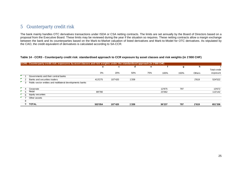# 5 Counterparty credit risk

The bank mainly handles OTC derivatives transactions under ISDA or CSA netting contracts. The limits are set annually by the Board of Directors based on a proposal from the Executive Board. These limits may be reviewed during the year if the situation so requires. These netting contracts allow a margin exchange between the bank and its counterparties based on the Mark-to-Market valuation of listed derivatives and Mark-to-Model for OTC derivatives. As stipulated by the CAO, the credit equivalent of derivatives is calculated according to SA-CCR.

#### **Table 14 - CCR3 - Counterparty credit risk: standardised approach to CCR exposure by asset classes and risk weights (in 1'000 CHF)**

|                           | CCR3: Counterparty credit risk: exposures by asset classes and risk weights under the standardised approach (in 1'000 CHF) |                                                            |         |         |       |     |        |      |        |                     |
|---------------------------|----------------------------------------------------------------------------------------------------------------------------|------------------------------------------------------------|---------|---------|-------|-----|--------|------|--------|---------------------|
|                           |                                                                                                                            |                                                            | a       | c       | d     | е   |        | g    | h      |                     |
|                           |                                                                                                                            |                                                            |         |         |       |     |        |      |        | <b>Total credit</b> |
|                           |                                                                                                                            |                                                            | 0%      | 20%     | 50%   | 75% | 100%   | 150% | Others | exposure            |
|                           |                                                                                                                            | Governments and their central banks                        |         |         |       |     |        |      |        |                     |
| $\mathbf{r}_{\mathbf{q}}$ |                                                                                                                            | Banks and securities traders                               | 413'275 | 107'420 | 1'209 |     |        |      | 2'619  | 524'522             |
| $\mathbf{r}_{3}$          |                                                                                                                            | Public-sector entities and multilateral developments banks |         |         |       |     |        |      |        |                     |
|                           |                                                                                                                            | Corporate                                                  |         |         |       |     | 12'875 | 797  |        | 13'672              |
|                           | $\mathbf{F}$ 5                                                                                                             | Retail                                                     | 89'780  |         |       |     | 23'362 |      |        | 113'142             |
| <b>F</b> 6                |                                                                                                                            | Equity securities                                          |         |         |       |     |        |      |        |                     |
|                           |                                                                                                                            | Other assets                                               |         |         |       |     |        |      |        |                     |
|                           | 8                                                                                                                          |                                                            |         |         |       |     |        |      |        |                     |
|                           | 9                                                                                                                          | <b>TOTAL</b>                                               | 503'054 | 107'420 | 1'209 |     | 36'237 | 797  | 2'619  | 651'336             |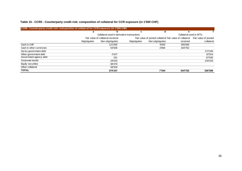#### **Table 15 - CCR5 - Counterparty credit risk: composition of collateral for CCR exposure (in 1'000 CHF)**

| CCR5 : Counterparty credit risk: composition of collateral for CCR exposure (in 1'000 CHF) |            |                                            |            |                                                                               |          |            |  |
|--------------------------------------------------------------------------------------------|------------|--------------------------------------------|------------|-------------------------------------------------------------------------------|----------|------------|--|
|                                                                                            | a          | b                                          | c          | d                                                                             | е        |            |  |
|                                                                                            |            | Collateral used in derivative transactions |            | Collateral used in SFTs                                                       |          |            |  |
|                                                                                            |            | Fair value of collateral received          |            | Fair value of posted collateral Fair value of collateral Fair value of posted |          |            |  |
|                                                                                            | Ségréguées | Non ségréguées                             | Ségréguées | Non ségréguées                                                                | received | collateral |  |
| Cash in CHF                                                                                |            | 121'935                                    |            | 4'650                                                                         | 200'000  |            |  |
| Cash in other currencies                                                                   |            | 63'506                                     |            | 2'894                                                                         | 344'762  |            |  |
| Swiss government debt                                                                      |            |                                            |            |                                                                               |          | 172'194    |  |
| Other government debt                                                                      |            | 2'427                                      |            |                                                                               |          | 32'524     |  |
| Government agency debt                                                                     |            | 231                                        |            |                                                                               |          | 87'635     |  |
| Corporate bonds                                                                            |            | 29'443                                     |            |                                                                               |          | 234'244    |  |
| Equity securities                                                                          |            | 98'376                                     |            |                                                                               |          |            |  |
| Other collateral                                                                           |            | 58'329                                     |            |                                                                               |          |            |  |
| <b>TOTAL</b>                                                                               |            | 374'247                                    |            | 7'544                                                                         | 544'762  | 526'596    |  |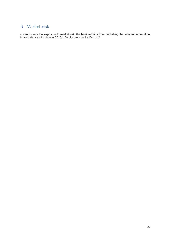# 6 Market risk

Given its very low exposure to market risk, the bank refrains from publishing the relevant information, in accordance with circular 2016/1 Disclosure - banks Cm 14.2.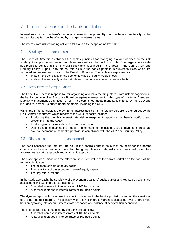# 7 Interest rate risk in the bank portfolio

Interest rate risk in the bank's portfolio represents the possibility that the bank's profitability or the value of its capital may be affected by changes in interest rates.

The interest rate risk of trading activities falls within the scope of market risk.

## 7.1 Strategy and procedures

The Board of Directors establishes the bank's principles for managing risk and decides on the risk strategy it will pursue with regard to interest rate risks in the bank's portfolio. The target interest-rate risk profile is defined in the Financial Policy and described in more detail in the Bank's ALM and Liquidity Policy. Exposure to interest rate risks in the bank's portfolio is subject to limits which are validated and revised each year by the Board of Directors. The limits are expressed as:

- limits on the sensitivity of the economic value of equity (value effect)
- limits on the sensitivity of the net interest margin over a year (revenue effect)

## 7.2 Structure and organisation

The Executive Board is responsible for organising and implementing interest rate risk management in the bank's portfolio. The Executive Board delegates management of this type of risk to its Asset and Liability Management Committee (CALM). The committee meets monthly, is chaired by the CEO and includes four other Executive Board members, including the CFO.

Within the Finance division, the control of interest rate risk in the bank's portfolio is carried out by the Risk Control department which reports to the CFO. Its tasks include:

- Producing the monthly interest rate risk management report for the bank's portfolio and presenting it to the CALM
- Producing monthly reports on fund transfer pricing
- Defining and maintaining the models and management principles used to manage interest rate risk management in the bank's portfolio, in compliance with the ALM and Liquidity Policy.

## 7.3 Risk assessment and measurement

The bank assesses the interest rate risk in the bank's portfolio on a monthly basis for the parent company and on a quarterly basis for the group. Interest rate risks are measured using two approaches: a static approach and a dynamic approach.

The static approach measures the effect on the current value of the bank's portfolio on the basis of the following indicators:

- The economic value of equity capital
- The sensitivity of the economic value of equity capital
- The key rate durations

In the static approach, the sensitivity of the economic value of equity capital and key rate durations are assessed using two interest rate scenarios:

- A parallel increase in interest rates of 100 basis points
- A parallel decrease in interest rates of 100 basis points

The dynamic approach measures the effect on revenue in the bank's portfolio based on the sensitivity of the net interest margin. The sensitivity of the net interest margin is assessed over a three-year horizon by taking into account interest rate scenarios and balance sheet evolution scenarios.

The interest rate scenarios used by the bank are as follows:

- A parallel increase in interest rates of 100 basis points
- A parallel decrease in interest rates of 100 basis points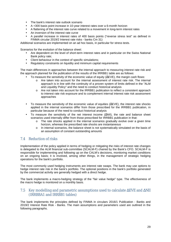- The bank's interest rate outlook scenario
- A +300 basis point increase in 10-year interest rates over a 6-month horizon
- A flattening of the interest rate curve related to a movement in long-term interest rates
- An inversion of the interest rate curve
- A parallel increase in interest rates of 400 basis points ("reverse stress test" as defined in FINMA circular 2019/2 Interest rate risks - banks Cm 31)

Additional scenarios are implemented on an ad hoc basis, in particular for stress tests.

Scenarios for the evolution of the balance sheet:

- Are dependent on the level of short-term interest rates and in particular on the Swiss National Bank policy rate;
- Client behaviour in the context of specific simulations;
- Regulatory constraints on liquidity and minimum capital requirements

The main differences in approaches between the internal approach to measuring interest rate risk and the approach planned for the publication of the results of the IRRBB1 table are as follows:

- To measure the sensitivity of the economic value of equity (ΔEVE), the margin cash flows:
	- o Are taken into account for the internal assessment of interest rate risk. The internal approach is in line with the continuity of a proven system of limits defined in the "ALM and Liquidity Policy" and the need to conduct historical analysis
	- o Are not taken into account for the IRRBB1 publication to reflect a consistent approach to interest rate risk exposure and to complement internal interest rate risk assessment approaches
- To measure the sensitivity of the economic value of equities  $(\Delta EVE)$ , the interest rate shocks applied in the internal scenarios differ from those prescribed for the IRRBB1 publication, in particular because of the need to conduct historical analysis
- To measure the sensitivity of the net interest income  $(\Delta NI)$ , the rate and balance sheet scenarios used internally differ from those prescribed for IRRBB1 publication in that:
	- o The rate shocks applied in the internal scenarios gradually evolve over a given time horizon, whereas the prescribed rate shocks are instantaneous
	- o In internal scenarios, the balance sheet is not systematically simulated on the basis of an assumption of constant outstanding amounts

## 7.4 Reduction of risks

Implementation of the policy applied in terms of hedging or mitigating the risks of interest rate changes is delegated to the ALM financial sub-committee (SCALM-F) chaired by the Bank's CFO. SCALM-F is responsible for implementing and following up on the CALM's decisions, monitoring market conditions on an ongoing basis; it is involved, among other things, in the management of strategic hedging operations for the bank's portfolio.

The most commonly used hedging instruments are interest rate swaps. The bank may use options to hedge interest rate risk in the bank's portfolio. The optional positions in the bank's portfolio generated by the commercial activity are generally hedged with a direct hedge.

The bank implements a macro-hedging strategy of the "fair value hedge" type. The effectiveness of the macro hedge is monitored on a monthly basis.

#### 7.5 Key modelling and parametric assumptions used to calculate ΔEVE and ΔNII (IRRBBA1 and IRRBB1 tables)

The bank implements the principles defined by FINMA in circulars 2016/1 Publication - Banks and 2019/2 Interest Rate Risk - Banks. The main assumptions and parameters used are outlined in the following paragraphs.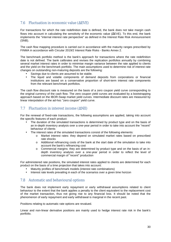## 7.6 Fluctuation in economic value (ΔEVE)

For transactions for which the rate redefinition date is defined, the bank does not take margin cash flows into account in calculating the sensitivity of the economic value (ΔEVE). To this end, the bank implements the "internal interest rate perspective" as defined in the Interest Rate Risk Announcement (SNB).

The cash flow mapping procedure is carried out in accordance with the maturity ranges prescribed by FINMA in accordance with Circular 2019/2 Interest Rate Risks - Banks Annex 2.

The benchmark portfolio method is the bank's approach for transactions where the rate redefinition date is not defined. The bank calibrates and revises the replication portfolios annually by combining several market interest rates in order to minimise margin variance between the rate applied to clients and the yield on the benchmark portfolio. The main assumptions used to determine risk of interest rate changes on outstanding non-maturing deposits are the following:

- Savings due to clients are assumed to be stable.
- The liquid and volatile components of demand deposits from corporations or financial institutions are based on a conservative proportion of short-term interest rate components from the relevant benchmark portfolios.

The cash flow discount rate is measured on the basis of a zero coupon yield curve corresponding to the original currency of the cash flow. The zero coupon yield curves are evaluated by a bootstrapping approach based on the IBOR-Swap market yield curves. Intermediate discount rates are measured by linear interpolation of the ad-hoc "zero coupon" yield curve.

## 7.7 Fluctuation in interest income (ΔNII)

For the renewal of fixed-rate transactions, the following assumptions are applied, taking into account the specific features of each product:

- The duration of the simulated transactions is determined by product type and on the basis of an in-depth inventory analysis over a one-year period in order to take into account the "recent" behaviour of clients
- The interest rates of the simulated transactions consist of the following elements:
	- o Market interest rates: they depend on simulated market rates based on prescribed rate shocks
	- o Additional refinancing costs of the bank at the start date of the simulation to take into account the bank's refinancing cost
	- o Commercial margins: they are determined by product type and on the basis of an indepth inventory analysis over a one-year period in order to reflect the level of commercial margin of "recent" production

For administered rate positions, the simulated interest rates applied to clients are determined for each product on the basis of a time projection that takes into account:

- Maturity profiles of benchmark models (interest rate combinations)
- Interest rate levels prevailing in each of the scenarios over a given time horizon

## 7.8 Automatic and behavioural options

The bank does not implement early repayment or early withdrawal assumptions related to client behaviour to the extent that the bank applies a penalty to the client equivalent to the replacement cost of the market transaction, thus not giving rise to any financial loss. It should be noted that the phenomenon of early repayment and early withdrawal is marginal in the recent past.

Positions relating to automatic rate options are revalued.

Linear and non-linear derivative positions are mainly used to hedge interest rate risk in the bank's portfolio.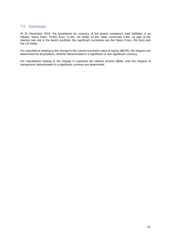#### 7.9 Currencies

At 31 December 2019, the breakdown by currency of the parent company's total liabilities is as follows: Swiss Franc 75.8%, Euro 11.0%, US Dollar 12.3%, other currencies 0.9%. As part of the interest rate risk in the bank's portfolio, the significant currencies are the Swiss Franc, the Euro and the US Dollar.

For calculations relating to the change in the current economic value of equity (ΔEVE), the impacts are determined for all positions, whether denominated in a significant or non-significant currency.

For calculations relating to the change in expected net interest income (ΔNII), only the impacts of transactions denominated in a significant currency are determined.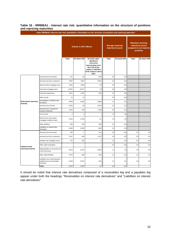#### **Table 16 - IRRBBA1 - Interest rate risk: quantitative information on the structure of positions and repricing maturities**

|                                    | Table IRRBBA1: Interest rate risk: quantitative information on the structure of positions and repricing maturities |          |                               |                                                                                                                                               |                                                 |              |                                                                                          |              |
|------------------------------------|--------------------------------------------------------------------------------------------------------------------|----------|-------------------------------|-----------------------------------------------------------------------------------------------------------------------------------------------|-------------------------------------------------|--------------|------------------------------------------------------------------------------------------|--------------|
|                                    |                                                                                                                    |          | <b>Volume in CHF millions</b> |                                                                                                                                               | <b>Average repricing</b><br>maturity (in years) |              | <b>Maximum repricing</b><br>maturity (in years)<br>assigned to non-maturity<br>positions |              |
|                                    |                                                                                                                    | Total    | Of which CHF                  | Of which other<br>significant<br>currencies<br>representing more<br>than 10% of the<br>assets or liabilities<br>of the balance sheet<br>total | Total                                           | Of which CHF | Total                                                                                    | Of which CHF |
|                                    | Amounts due from banks                                                                                             | 971      | 65                            | 905                                                                                                                                           | 0.6                                             | 0.3          |                                                                                          |              |
|                                    | Amounts due from customers                                                                                         | 4'097    | 1'987                         | 2'092                                                                                                                                         | 2.3                                             | 3.6          |                                                                                          |              |
|                                    | Money market mortgage loans                                                                                        | 1'935    | 1'848                         | 87                                                                                                                                            | 0.0                                             | 0.0          |                                                                                          |              |
|                                    | Fixed-rate mortgage loans                                                                                          | 10'491   | 10'417                        | 74                                                                                                                                            | 5.8                                             | 5.8          |                                                                                          |              |
|                                    | Financial investments                                                                                              | 1'821    | 1'487                         | 335                                                                                                                                           | 5.1                                             | 5.8          |                                                                                          |              |
|                                    | Other assets                                                                                                       | 24       | 24                            |                                                                                                                                               | 0.0                                             | 0.0          |                                                                                          |              |
| <b>Determined repricing</b>        | Receivables on interest rate<br>derivatives                                                                        | 9'056    | 6'363                         | 2'609                                                                                                                                         | 1.7                                             | 2.1          |                                                                                          |              |
| maturity                           | Amounts due to banks                                                                                               | $-2'945$ | $-26$                         | $-2'915$                                                                                                                                      | 0.4                                             | 0.4          |                                                                                          |              |
|                                    | Amounts due in respect of<br>customer deposits                                                                     | $-1'032$ | $-190$                        | $-809$                                                                                                                                        | 0.2                                             | 0.1          |                                                                                          |              |
|                                    | Cash bonds                                                                                                         | $-2$     | $-2$                          | ÷,                                                                                                                                            | 1.9                                             | 1.9          |                                                                                          |              |
|                                    | Bond issues and central<br>mortgage institution loans                                                              | $-3794$  | $-3'783$                      | $-11$                                                                                                                                         | 7.9                                             | 7.9          |                                                                                          |              |
|                                    | Other liabilities                                                                                                  | $-566$   | $-200$                        | $-366$                                                                                                                                        | 0.1                                             | 0.0          |                                                                                          |              |
|                                    | Liabilities on interest rate<br>derivatives                                                                        | $-9'208$ | $-8'328$                      | $-869$                                                                                                                                        | 2.4                                             | 2.6          |                                                                                          |              |
|                                    | Amounts due from banks                                                                                             | 182      | $-1$                          | 112                                                                                                                                           | 0.2                                             | 0.0          | 5.0                                                                                      | $5.0$        |
|                                    | Amounts due from customers                                                                                         | 1'447    | 208                           | 1'222                                                                                                                                         | 0.3                                             | 0.5          | 5.0                                                                                      | 5.0          |
|                                    | Variable-rate mortgage loans                                                                                       | 227      | 226                           | $\mathbf{1}$                                                                                                                                  | 1.6                                             | 1.6          | 5.0                                                                                      | 5.0          |
|                                    | Other sight receivables                                                                                            | ÷,       |                               | ÷.                                                                                                                                            | 0.0                                             | 0.0          | 0.0                                                                                      | 0.0          |
| Undetermined<br>repricing maturity | Sight liabilities in personal and<br>current accounts                                                              | $-8'670$ | $-6'751$                      | $-1'804$                                                                                                                                      | 1.1                                             | 1.3          | 5.0                                                                                      | 5.0          |
|                                    | Other sight liabilities                                                                                            | $-1'012$ | $-436$                        | $-493$                                                                                                                                        | 0.1                                             | 0.0          | 1.0                                                                                      | 1.0          |
|                                    | Liabilities from client deposits,<br>callable but not transferable<br>(savings)                                    | $-5'236$ | $-5'075$                      | $-160$                                                                                                                                        | 2.1                                             | 2.1          | 5.0                                                                                      | 5.0          |
|                                    | Total                                                                                                              | $-2'215$ | $-2'167$                      | 11                                                                                                                                            | 2.4                                             | 3.1          |                                                                                          |              |

**Table IRRBBA1: Interest rate risk: quantitative information on the structure of positions and repricing maturities**

It should be noted that interest rate derivatives composed of a receivables leg and a payables leg appear under both the headings "Receivables on interest rate derivatives" and "Liabilities on interest rate derivatives".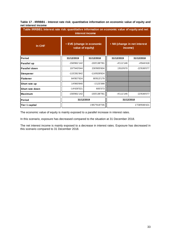#### **Table 17 - IRRBB1 - Interest rate risk: quantitative information on economic value of equity and net interest income**

| Table IRRBB1: Interest rate risk: quantitative information on economic value of equity and net<br>interest income |                                               |               |                                          |             |  |  |  |
|-------------------------------------------------------------------------------------------------------------------|-----------------------------------------------|---------------|------------------------------------------|-------------|--|--|--|
| In CHF                                                                                                            | • EVE (change in economic<br>value of equity) |               | • NII (change in net interest<br>income) |             |  |  |  |
| Period                                                                                                            | 31/12/2019                                    | 31/12/2018    | 31/12/2019                               | 31/12/2018  |  |  |  |
| Parallel up                                                                                                       | -156'861'142                                  | -193'138'781  | $-4'111'146$                             | -4'944'418  |  |  |  |
| Parallel down                                                                                                     | 197'943'044                                   | 230'805'604   | 1'810'670                                | -22'636'077 |  |  |  |
| <b>Steepener</b>                                                                                                  | -115'281'842                                  | -116'828'824  |                                          |             |  |  |  |
| lFlattener                                                                                                        | 84'957'624                                    | 80'813'179    |                                          |             |  |  |  |
| Short rate up                                                                                                     | 14'993'840                                    | -1'123'399    |                                          |             |  |  |  |
| Short rate down                                                                                                   | -14'426'521                                   | 600'373       |                                          |             |  |  |  |
| <b>Maximum</b>                                                                                                    | -156'861'142                                  | -193'138'781  | $-4'111'146$                             | -22'636'077 |  |  |  |
| Period                                                                                                            | 31/12/2019                                    |               | 31/12/2018                               |             |  |  |  |
| Tier 1 capital                                                                                                    |                                               | 1'857'919'735 | 1'738'936'421                            |             |  |  |  |

The economic value of equity is mainly exposed to a parallel increase in interest rates.

In this scenario, exposure has decreased compared to the situation at 31 December 2018.

The net interest income is mainly exposed to a decrease in interest rates. Exposure has decreased in this scenario compared to 31 December 2018.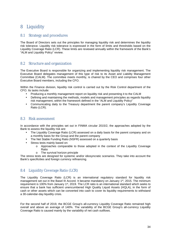# 8 Liquidity

#### 8.1 Strategy and procedures

The Board of Directors sets out the principles for managing liquidity risk and determines the liquidity risk tolerance. Liquidity risk tolerance is expressed in the form of limits and thresholds based on the Liquidity Coverage Ratio (LCR). These limits are reviewed annually within the framework of the Bank's "ALM and Liquidity Policy" review.

## 8.2 Structure and organization

The Executive Board is responsible for organizing and implementing liquidity risk management. The Executive Board delegates management of this type of risk to its Asset and Liability Management Committee (CALM). The committee meets monthly, is chaired by the CEO and comprises four other Executive Board members, including the CFO.

Within the Finance division, liquidity risk control is carried out by the Risk Control department of the CFO. Its tasks include:

- Producing a monthly management report on liquidity risk and presenting it to the CALM
- Defining and maintaining the methods, models and management principles as regards liquidity risk management, within the framework defined in the "ALM and Liquidity Policy"
- Communicating daily to the Treasury department the parent company's Liquidity Coverage Ratio (LCR).

#### 8.3 Risk assessment

In accordance with the principles set out in FINMA circular 2015/2, the approaches adopted by the Bank to assess the liquidity risk are:

- The Liquidity Coverage Ratio (LCR) assessed on a daily basis for the parent company and on a monthly basis for the Group and the parent company
- The Net Stable Funding Ratio (NSFR) assessed on a quarterly basis
- Stress tests mainly based on:
	- o Approaches comparable to those adopted in the context of the Liquidity Coverage Ratio
	- o The survival horizon principle

The stress tests are designed for systemic and/or idiosyncratic scenarios. They take into account the Bank's specificities and foreign currency refinancing.

## 8.4 Liquidity Coverage Ratio (LCR)

The Liquidity Coverage Ratio (LCR) is an international regulatory standard for liquidity risk management set out in the Basel III Accord. It became mandatory on January 1<sup>st</sup>, 2015. The minimum requirement is 100% from January 1st, 2019. The LCR ratio is an international standard which seeks to ensure that a bank has sufficient unencumbered High Quality Liquid Assets (HQLA), in the form of cash or other assets which can be converted into cash to cover its liquidity requirements to withstand a 30-calendar-day liquidity crisis.

For the second half of 2019, the BCGE Group's all-currency Liquidity Coverage Ratio remained high overall and above an average of 140%. The variability of the BCGE Group's all-currency Liquidity Coverage Ratio is caused mainly by the variability of net cash outflows.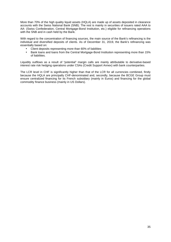More than 70% of the high quality liquid assets (HQLA) are made up of assets deposited in clearance accounts with the Swiss National Bank (SNB). The rest is mainly in securities of issuers rated AAA to AA- (Swiss Confederation, Central Mortgage-Bond Institution, etc.) eligible for refinancing operations with the SNB and in cash held by the Bank.

With regard to the concentration of financing sources, the main source of the Bank's refinancing is the individual and diversified deposits of clients. As of December 31, 2019, the Bank's refinancing was essentially based on:

- Client deposits representing more than 60% of liabilities
- Bank loans and loans from the Central Mortgage-Bond Institution representing more than 15% of liabilities.

Liquidity outflows as a result of "potential" margin calls are mainly attributable to derivative-based interest rate risk hedging operations under CSAs (Credit Support Annex) with bank counterparties.

The LCR level in CHF is significantly higher than that of the LCR for all currencies combined, firstly because the HQLA are principally CHF-denominated and, secondly, because the BCGE Group must ensure centralized financing for its French subsidiary (mainly in Euros) and financing for the global commodity finance business (mainly in US Dollars).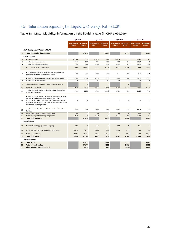## 8.5 Information regarding the Liquidity Coverage Ratio (LCR)

## **Table 18 - LIQ1 - Liquidity: information on the liquidity ratio (in CHF 1,000,000)**

|                |                                                                                                                                                                                                                                                                                  | Q1 2019<br>Q2 2019          |                        |                             | Q3 2019                |                                      | Q4 2019                |                             |                        |
|----------------|----------------------------------------------------------------------------------------------------------------------------------------------------------------------------------------------------------------------------------------------------------------------------------|-----------------------------|------------------------|-----------------------------|------------------------|--------------------------------------|------------------------|-----------------------------|------------------------|
|                |                                                                                                                                                                                                                                                                                  | <b>Unweighted</b><br>values | Weighted<br>values     | <b>Unweighted</b><br>values | Weighted<br>values     | <b>Unweighted Weighted</b><br>values | values                 | <b>Unweighted</b><br>values | Weighted<br>values     |
|                | <b>High-Quality Liquid Assets (HQLA)</b>                                                                                                                                                                                                                                         |                             |                        |                             |                        |                                      |                        |                             |                        |
| $\mathbf{1}$   | <b>Total high-quality liquid assets</b>                                                                                                                                                                                                                                          |                             | 4'573                  |                             | 4'772                  |                                      | 4'771                  |                             | 5'461                  |
|                | <b>Cash outflows</b>                                                                                                                                                                                                                                                             |                             |                        |                             |                        |                                      |                        |                             |                        |
| $\overline{2}$ | Retail deposits                                                                                                                                                                                                                                                                  | 10'395                      | 712                    | 10'504                      | 715                    | 10'591                               | 727                    | 10'726                      | 747                    |
| 3              | • of which stable deposits                                                                                                                                                                                                                                                       | 3'947                       | 197                    | 4'004                       | 200                    | 4'001                                | 200                    | 3'834                       | 192                    |
| 4              | • of which less stable deposits                                                                                                                                                                                                                                                  | 6'448                       | 515                    | 6'500                       | 514                    | 6'590                                | 527                    | 6'893                       | 555                    |
| 5              | Unsecured wholesale funding                                                                                                                                                                                                                                                      | 5'302                       | 3'305                  | 5'339                       | 3'231                  | 4'630                                | 2'716                  | 5'377                       | 3'354                  |
| 6              | • of w hich operational deposits (all counterparties) and<br>deposits in netw orks of cooperative banks                                                                                                                                                                          | 919                         | 224                    | 1'008                       | 246                    | 942                                  | 229                    | 902                         | 220                    |
| $\overline{7}$ | • of which non-operational deposits (all counterparties)                                                                                                                                                                                                                         | 4'368                       | 3'066                  | 4'321                       | 2'975                  | 3'661                                | 2'460                  | 4'457                       | 3'117                  |
| 8              | • of which unsecured debt                                                                                                                                                                                                                                                        | 15                          | 15                     | 10                          | 10                     | 27                                   | 27                     | 18                          | 18                     |
| $\overline{9}$ | Secured wholesale funding and collateral swaps                                                                                                                                                                                                                                   |                             | $\mathbf 0$            |                             | $\overline{0}$         |                                      | $\mathbf 0$            |                             | $\Omega$               |
| 10             | Other cash outflows                                                                                                                                                                                                                                                              | 2'539                       | 1'343                  | 2'800                       | 1'467                  | 2'057                                | 1'171                  | 2'707                       | 1'778                  |
| 11             | • of which cash outflows related to derivative exposure<br>and other transactions                                                                                                                                                                                                | 1'156                       | 1'134                  | 1'264                       | 1'243                  | 1'004                                | 983                    | 1'613                       | 1'591                  |
| 12             | • of which cash outflows associated with losses on asset-<br>backed securities financing, covered bonds, other<br>structured instruments, asset-backed money market paper,<br>special purpose vehicles, securities investment vehicles and<br>other similar financing facilities | $\mathbf 0$                 | $\Omega$               | $\Omega$                    | $\Omega$               | $\Omega$                             | $\mathbf 0$            | $\mathbf{1}$                | $\mathbf{1}$           |
| 13             | • of which cash outflows related to credit and liquidity<br>facilities                                                                                                                                                                                                           | 1'383                       | 208                    | 1'536                       | 224                    | 1'052                                | 188                    | 1'094                       | 187                    |
| 14             | Other contractual financing obligations                                                                                                                                                                                                                                          | 84                          | $\overline{4}$         | 18                          | $\overline{0}$         | 12                                   | $\overline{0}$         | 200                         | $\overline{9}$         |
| 15             | Other contingent financing obligations                                                                                                                                                                                                                                           | 3'678                       | 50                     | 3'791                       | 53                     | 2'838                                | 51                     | 3'108                       | 52                     |
| 16             | <b>Total cash outflows</b>                                                                                                                                                                                                                                                       |                             | 5'413                  |                             | 5'466                  |                                      | 4'665                  |                             | 5'941                  |
|                | <b>Cash inflows</b>                                                                                                                                                                                                                                                              |                             |                        |                             |                        |                                      |                        |                             |                        |
| 17             | Secured lending (e.g. reverse repos)                                                                                                                                                                                                                                             | 361                         | $\mathbf 0$            | 295                         | $\mathbf{0}$           | 411                                  | $\mathbf 0$            | 365                         | $\mathbf 0$            |
| 18             | Cash inflows from fully performing exposure                                                                                                                                                                                                                                      | 2'025                       | 972                    | 1'813                       | 949                    | 1'691                                | 877                    | 1'756                       | 736                    |
| 19             | Other cash inflows                                                                                                                                                                                                                                                               | 1'164                       | 1'164                  | 1'189                       | 1'189                  | 907                                  | 907                    | 1'549                       | 1'549                  |
| 20             | <b>Total cash inflows</b>                                                                                                                                                                                                                                                        | 3'550                       | 2'136                  | 3'296                       | 2'137                  | 3'010                                | 1'784                  | 3'669                       | 2'284                  |
|                | <b>Adjusted values</b>                                                                                                                                                                                                                                                           |                             |                        |                             |                        |                                      |                        |                             |                        |
| 21<br>22<br>23 | <b>Total HQLA</b><br><b>Total net cash outflows</b><br>Liquidity Coverage Ratio (as %)                                                                                                                                                                                           |                             | 4'573<br>3'277<br>140% |                             | 4'772<br>3'329<br>143% |                                      | 4'771<br>2'881<br>166% |                             | 5'461<br>3'657<br>149% |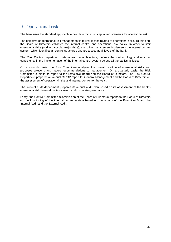# 9 Operational risk

The bank uses the standard approach to calculate minimum capital requirements for operational risk.

The objective of operational risk management is to limit losses related to operational risks. To this end, the Board of Directors validates the internal control and operational risk policy. In order to limit operational risks (and in particular major risks), executive management implements the internal control system, which identifies all control structures and processes at all levels of the bank.

The Risk Control department determines the architecture, defines the methodology and ensures consistency in the implementation of the internal control system across all the bank's activities.

On a monthly basis, the Risk Committee analyses the overall position of operational risks and proposes solutions and makes recommendations to management. On a quarterly basis, the Risk Committee submits its report to the Executive Board and the Board of Directors. The Risk Control Department prepares an annual CIROP report for General Management and the Board of Directors on the assessment of operational risks and internal control for the year.

The internal audit department prepares its annual audit plan based on its assessment of the bank's operational risk, internal control system and corporate governance.

Lastly, the Control Committee (Commission of the Board of Directors) reports to the Board of Directors on the functioning of the internal control system based on the reports of the Executive Board, the Internal Audit and the External Audit.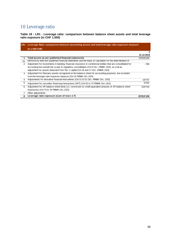# 10 Leverage ratio

**Table 19 - LR1 - Leverage ratio: comparison between balance sheet assets and total leverage ratio exposure (in CHF 1,000)**

|    | LR1 : Leverage Ratio: comparison between accounting assets and total leverage ratio exposure measure         |            |
|----|--------------------------------------------------------------------------------------------------------------|------------|
|    | (in 1'000 CHF)                                                                                               |            |
|    |                                                                                                              | а          |
|    |                                                                                                              | 31.12.2019 |
|    | Total assets as per published financial statements                                                           | 24'919'240 |
| 1a | Differences betw een published financial statements and the basis of calculation for the determination of    |            |
| 2  | Adjustment for investments in banking, financial, insurance or commercial entities that are consolidated for | -795       |
|    | accounting but outside the scope of regulatory consolidation (Cm 6 Circ.-FINMA 15/3), as well as             |            |
|    | adjustment for assets deducted from Tier 1 capital (Cm 16 and 17 Circ.-FINMA 15/3)                           |            |
| 3  | Adjustment for fiduciary assets recognised on the balance sheet for accounting purposes, but excluded        |            |
|    | from the leverage ratio exposure measure (Cm 15 FINMA Circ.15/3)                                             |            |
| 4  | Adjustments for derivative financial instruments (Cm 21 to 51 Circ.-FINMA Circ. 15/3)                        | $-16'757$  |
| 5  | Adjustment for securities financing transactions (SFT) (Cm 52 to 73 FINMA-Circ.15/3)                         | -6'332     |
| 6  | Adjustment for off-balance sheet items (i.e. conversion to credit equivalent amounts of off-balance sheet    | 919'744    |
|    | exposures) (Cm 74 to 76 FINMA-Circ.15/3)                                                                     |            |
| 7  | Other adjustments                                                                                            |            |
| 8  | Leverage ratio exposure (sum of rows 1-7)                                                                    | 25'815'100 |